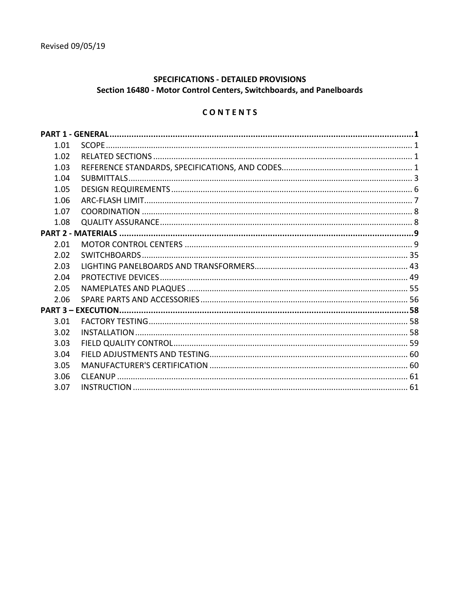## **SPECIFICATIONS - DETAILED PROVISIONS** Section 16480 - Motor Control Centers, Switchboards, and Panelboards

# CONTENTS

| 1.01 |  |  |
|------|--|--|
| 1.02 |  |  |
| 1.03 |  |  |
| 1.04 |  |  |
| 1.05 |  |  |
| 1.06 |  |  |
| 1.07 |  |  |
| 1.08 |  |  |
|      |  |  |
| 2.01 |  |  |
| 2.02 |  |  |
| 2.03 |  |  |
| 2.04 |  |  |
| 2.05 |  |  |
| 2.06 |  |  |
|      |  |  |
| 3.01 |  |  |
| 3.02 |  |  |
| 3.03 |  |  |
| 3.04 |  |  |
| 3.05 |  |  |
| 3.06 |  |  |
| 3.07 |  |  |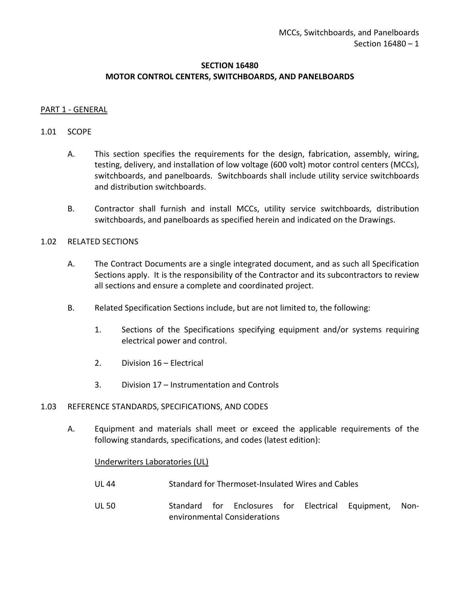### **SECTION 16480 MOTOR CONTROL CENTERS, SWITCHBOARDS, AND PANELBOARDS**

#### <span id="page-2-0"></span>PART 1 - GENERAL

#### <span id="page-2-1"></span>1.01 SCOPE

- A. This section specifies the requirements for the design, fabrication, assembly, wiring, testing, delivery, and installation of low voltage (600 volt) motor control centers (MCCs), switchboards, and panelboards. Switchboards shall include utility service switchboards and distribution switchboards.
- B. Contractor shall furnish and install MCCs, utility service switchboards, distribution switchboards, and panelboards as specified herein and indicated on the Drawings.

#### <span id="page-2-2"></span>1.02 RELATED SECTIONS

- A. The Contract Documents are a single integrated document, and as such all Specification Sections apply. It is the responsibility of the Contractor and its subcontractors to review all sections and ensure a complete and coordinated project.
- B. Related Specification Sections include, but are not limited to, the following:
	- 1. Sections of the Specifications specifying equipment and/or systems requiring electrical power and control.
	- 2. Division 16 Electrical
	- 3. Division 17 Instrumentation and Controls

#### <span id="page-2-3"></span>1.03 REFERENCE STANDARDS, SPECIFICATIONS, AND CODES

A. Equipment and materials shall meet or exceed the applicable requirements of the following standards, specifications, and codes (latest edition):

#### Underwriters Laboratories (UL)

- UL 44 Standard for Thermoset-Insulated Wires and Cables
- UL 50 Standard for Enclosures for Electrical Equipment, Nonenvironmental Considerations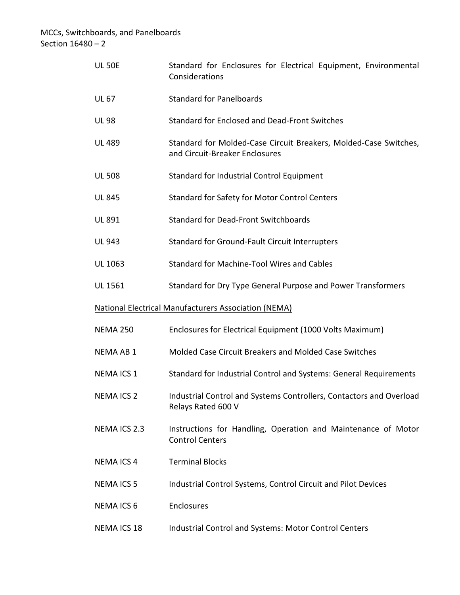| <b>UL 50E</b>      | Standard for Enclosures for Electrical Equipment, Environmental<br>Considerations                  |
|--------------------|----------------------------------------------------------------------------------------------------|
| <b>UL 67</b>       | <b>Standard for Panelboards</b>                                                                    |
| <b>UL 98</b>       | Standard for Enclosed and Dead-Front Switches                                                      |
| <b>UL 489</b>      | Standard for Molded-Case Circuit Breakers, Molded-Case Switches,<br>and Circuit-Breaker Enclosures |
| <b>UL 508</b>      | Standard for Industrial Control Equipment                                                          |
| <b>UL 845</b>      | <b>Standard for Safety for Motor Control Centers</b>                                               |
| UL 891             | <b>Standard for Dead-Front Switchboards</b>                                                        |
| <b>UL 943</b>      | Standard for Ground-Fault Circuit Interrupters                                                     |
| UL 1063            | <b>Standard for Machine-Tool Wires and Cables</b>                                                  |
| UL 1561            | Standard for Dry Type General Purpose and Power Transformers                                       |
|                    | <b>National Electrical Manufacturers Association (NEMA)</b>                                        |
| <b>NEMA 250</b>    | Enclosures for Electrical Equipment (1000 Volts Maximum)                                           |
| <b>NEMA AB 1</b>   | Molded Case Circuit Breakers and Molded Case Switches                                              |
| <b>NEMAICS 1</b>   | Standard for Industrial Control and Systems: General Requirements                                  |
| <b>NEMAICS 2</b>   | Industrial Control and Systems Controllers, Contactors and Overload<br>Relays Rated 600 V          |
| <b>NEMAICS 2.3</b> | Instructions for Handling, Operation and Maintenance of Motor<br><b>Control Centers</b>            |
| <b>NEMAICS4</b>    | <b>Terminal Blocks</b>                                                                             |
| <b>NEMAICS 5</b>   | Industrial Control Systems, Control Circuit and Pilot Devices                                      |
| <b>NEMAICS 6</b>   | Enclosures                                                                                         |
| <b>NEMAICS 18</b>  | Industrial Control and Systems: Motor Control Centers                                              |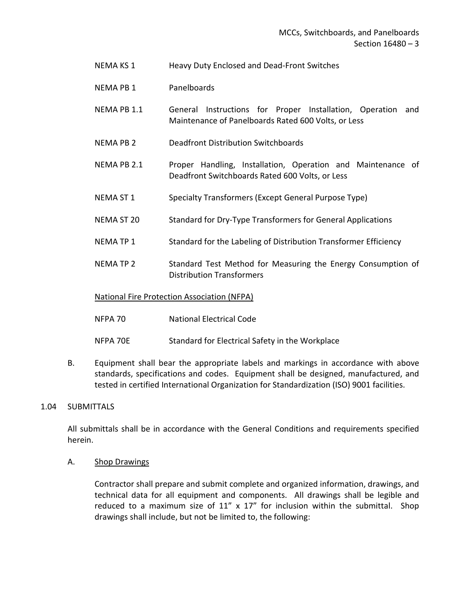- NEMA KS 1 Heavy Duty Enclosed and Dead-Front Switches
- NEMA PB 1 Panelboards
- NEMA PB 1.1 General Instructions for Proper Installation, Operation and Maintenance of Panelboards Rated 600 Volts, or Less
- NEMA PB 2 Deadfront Distribution Switchboards
- NEMA PB 2.1 Proper Handling, Installation, Operation and Maintenance of Deadfront Switchboards Rated 600 Volts, or Less
- NEMA ST 1 Specialty Transformers (Except General Purpose Type)
- NEMA ST 20 Standard for Dry-Type Transformers for General Applications
- NEMA TP 1 Standard for the Labeling of Distribution Transformer Efficiency
- NEMA TP 2 Standard Test Method for Measuring the Energy Consumption of Distribution Transformers

### National Fire Protection Association (NFPA)

- NFPA 70 National Electrical Code
- NFPA 70E Standard for Electrical Safety in the Workplace
- B. Equipment shall bear the appropriate labels and markings in accordance with above standards, specifications and codes. Equipment shall be designed, manufactured, and tested in certified International Organization for Standardization (ISO) 9001 facilities.

### <span id="page-4-0"></span>1.04 SUBMITTALS

All submittals shall be in accordance with the General Conditions and requirements specified herein.

A. Shop Drawings

Contractor shall prepare and submit complete and organized information, drawings, and technical data for all equipment and components. All drawings shall be legible and reduced to a maximum size of  $11''$  x  $17''$  for inclusion within the submittal. Shop drawings shall include, but not be limited to, the following: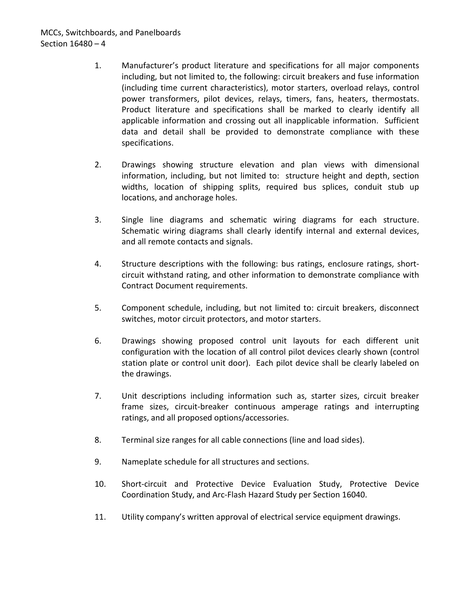# MCCs, Switchboards, and Panelboards Section 16480 – 4

- 1. Manufacturer's product literature and specifications for all major components including, but not limited to, the following: circuit breakers and fuse information (including time current characteristics), motor starters, overload relays, control power transformers, pilot devices, relays, timers, fans, heaters, thermostats. Product literature and specifications shall be marked to clearly identify all applicable information and crossing out all inapplicable information. Sufficient data and detail shall be provided to demonstrate compliance with these specifications.
- 2. Drawings showing structure elevation and plan views with dimensional information, including, but not limited to: structure height and depth, section widths, location of shipping splits, required bus splices, conduit stub up locations, and anchorage holes.
- 3. Single line diagrams and schematic wiring diagrams for each structure. Schematic wiring diagrams shall clearly identify internal and external devices, and all remote contacts and signals.
- 4. Structure descriptions with the following: bus ratings, enclosure ratings, shortcircuit withstand rating, and other information to demonstrate compliance with Contract Document requirements.
- 5. Component schedule, including, but not limited to: circuit breakers, disconnect switches, motor circuit protectors, and motor starters.
- 6. Drawings showing proposed control unit layouts for each different unit configuration with the location of all control pilot devices clearly shown (control station plate or control unit door). Each pilot device shall be clearly labeled on the drawings.
- 7. Unit descriptions including information such as, starter sizes, circuit breaker frame sizes, circuit-breaker continuous amperage ratings and interrupting ratings, and all proposed options/accessories.
- 8. Terminal size ranges for all cable connections (line and load sides).
- 9. Nameplate schedule for all structures and sections.
- 10. Short-circuit and Protective Device Evaluation Study, Protective Device Coordination Study, and Arc-Flash Hazard Study per Section 16040.
- 11. Utility company's written approval of electrical service equipment drawings.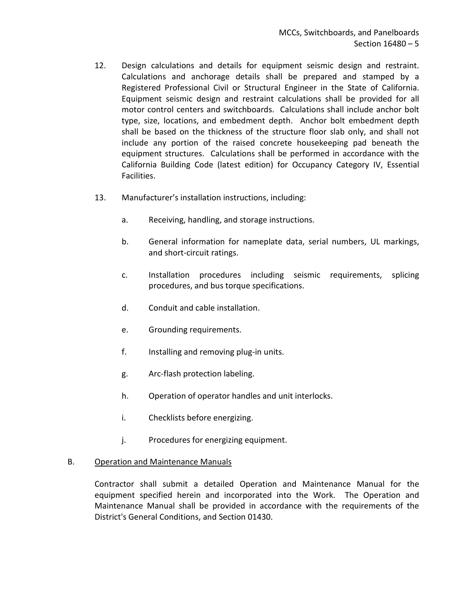- 12. Design calculations and details for equipment seismic design and restraint. Calculations and anchorage details shall be prepared and stamped by a Registered Professional Civil or Structural Engineer in the State of California. Equipment seismic design and restraint calculations shall be provided for all motor control centers and switchboards. Calculations shall include anchor bolt type, size, locations, and embedment depth. Anchor bolt embedment depth shall be based on the thickness of the structure floor slab only, and shall not include any portion of the raised concrete housekeeping pad beneath the equipment structures. Calculations shall be performed in accordance with the California Building Code (latest edition) for Occupancy Category IV, Essential Facilities.
- 13. Manufacturer's installation instructions, including:
	- a. Receiving, handling, and storage instructions.
	- b. General information for nameplate data, serial numbers, UL markings, and short-circuit ratings.
	- c. Installation procedures including seismic requirements, splicing procedures, and bus torque specifications.
	- d. Conduit and cable installation.
	- e. Grounding requirements.
	- f. Installing and removing plug-in units.
	- g. Arc-flash protection labeling.
	- h. Operation of operator handles and unit interlocks.
	- i. Checklists before energizing.
	- j. Procedures for energizing equipment.

### B. Operation and Maintenance Manuals

Contractor shall submit a detailed Operation and Maintenance Manual for the equipment specified herein and incorporated into the Work. The Operation and Maintenance Manual shall be provided in accordance with the requirements of the District's General Conditions, and Section 01430.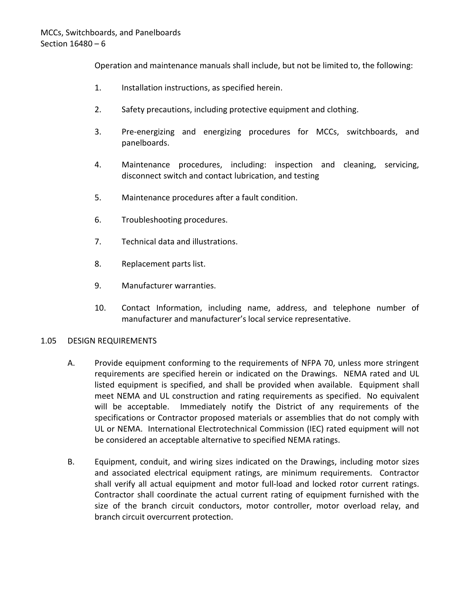Operation and maintenance manuals shall include, but not be limited to, the following:

- 1. Installation instructions, as specified herein.
- 2. Safety precautions, including protective equipment and clothing.
- 3. Pre-energizing and energizing procedures for MCCs, switchboards, and panelboards.
- 4. Maintenance procedures, including: inspection and cleaning, servicing, disconnect switch and contact lubrication, and testing
- 5. Maintenance procedures after a fault condition.
- 6. Troubleshooting procedures.
- 7. Technical data and illustrations.
- 8. Replacement parts list.
- 9. Manufacturer warranties.
- 10. Contact Information, including name, address, and telephone number of manufacturer and manufacturer's local service representative.

### <span id="page-7-0"></span>1.05 DESIGN REQUIREMENTS

- A. Provide equipment conforming to the requirements of NFPA 70, unless more stringent requirements are specified herein or indicated on the Drawings. NEMA rated and UL listed equipment is specified, and shall be provided when available. Equipment shall meet NEMA and UL construction and rating requirements as specified. No equivalent will be acceptable. Immediately notify the District of any requirements of the specifications or Contractor proposed materials or assemblies that do not comply with UL or NEMA. International Electrotechnical Commission (IEC) rated equipment will not be considered an acceptable alternative to specified NEMA ratings.
- B. Equipment, conduit, and wiring sizes indicated on the Drawings, including motor sizes and associated electrical equipment ratings, are minimum requirements. Contractor shall verify all actual equipment and motor full-load and locked rotor current ratings. Contractor shall coordinate the actual current rating of equipment furnished with the size of the branch circuit conductors, motor controller, motor overload relay, and branch circuit overcurrent protection.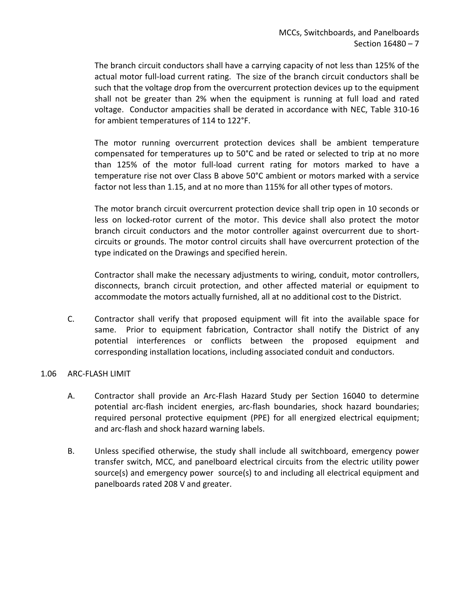The branch circuit conductors shall have a carrying capacity of not less than 125% of the actual motor full-load current rating. The size of the branch circuit conductors shall be such that the voltage drop from the overcurrent protection devices up to the equipment shall not be greater than 2% when the equipment is running at full load and rated voltage. Conductor ampacities shall be derated in accordance with NEC, Table 310-16 for ambient temperatures of 114 to 122°F.

The motor running overcurrent protection devices shall be ambient temperature compensated for temperatures up to 50°C and be rated or selected to trip at no more than 125% of the motor full-load current rating for motors marked to have a temperature rise not over Class B above 50°C ambient or motors marked with a service factor not less than 1.15, and at no more than 115% for all other types of motors.

The motor branch circuit overcurrent protection device shall trip open in 10 seconds or less on locked-rotor current of the motor. This device shall also protect the motor branch circuit conductors and the motor controller against overcurrent due to shortcircuits or grounds. The motor control circuits shall have overcurrent protection of the type indicated on the Drawings and specified herein.

Contractor shall make the necessary adjustments to wiring, conduit, motor controllers, disconnects, branch circuit protection, and other affected material or equipment to accommodate the motors actually furnished, all at no additional cost to the District.

C. Contractor shall verify that proposed equipment will fit into the available space for same. Prior to equipment fabrication, Contractor shall notify the District of any potential interferences or conflicts between the proposed equipment and corresponding installation locations, including associated conduit and conductors.

### <span id="page-8-0"></span>1.06 ARC-FLASH LIMIT

- A. Contractor shall provide an Arc-Flash Hazard Study per Section 16040 to determine potential arc-flash incident energies, arc-flash boundaries, shock hazard boundaries; required personal protective equipment (PPE) for all energized electrical equipment; and arc-flash and shock hazard warning labels.
- B. Unless specified otherwise, the study shall include all switchboard, emergency power transfer switch, MCC, and panelboard electrical circuits from the electric utility power source(s) and emergency power source(s) to and including all electrical equipment and panelboards rated 208 V and greater.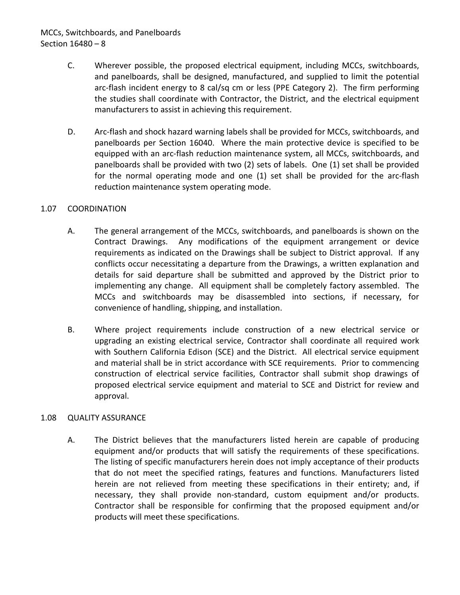# MCCs, Switchboards, and Panelboards Section 16480 – 8

- C. Wherever possible, the proposed electrical equipment, including MCCs, switchboards, and panelboards, shall be designed, manufactured, and supplied to limit the potential arc-flash incident energy to 8 cal/sq cm or less (PPE Category 2). The firm performing the studies shall coordinate with Contractor, the District, and the electrical equipment manufacturers to assist in achieving this requirement.
- D. Arc-flash and shock hazard warning labels shall be provided for MCCs, switchboards, and panelboards per Section 16040. Where the main protective device is specified to be equipped with an arc-flash reduction maintenance system, all MCCs, switchboards, and panelboards shall be provided with two (2) sets of labels. One (1) set shall be provided for the normal operating mode and one (1) set shall be provided for the arc-flash reduction maintenance system operating mode.

### <span id="page-9-0"></span>1.07 COORDINATION

- A. The general arrangement of the MCCs, switchboards, and panelboards is shown on the Contract Drawings. Any modifications of the equipment arrangement or device requirements as indicated on the Drawings shall be subject to District approval. If any conflicts occur necessitating a departure from the Drawings, a written explanation and details for said departure shall be submitted and approved by the District prior to implementing any change. All equipment shall be completely factory assembled. The MCCs and switchboards may be disassembled into sections, if necessary, for convenience of handling, shipping, and installation.
- B. Where project requirements include construction of a new electrical service or upgrading an existing electrical service, Contractor shall coordinate all required work with Southern California Edison (SCE) and the District. All electrical service equipment and material shall be in strict accordance with SCE requirements. Prior to commencing construction of electrical service facilities, Contractor shall submit shop drawings of proposed electrical service equipment and material to SCE and District for review and approval.

### <span id="page-9-1"></span>1.08 QUALITY ASSURANCE

A. The District believes that the manufacturers listed herein are capable of producing equipment and/or products that will satisfy the requirements of these specifications. The listing of specific manufacturers herein does not imply acceptance of their products that do not meet the specified ratings, features and functions. Manufacturers listed herein are not relieved from meeting these specifications in their entirety; and, if necessary, they shall provide non-standard, custom equipment and/or products. Contractor shall be responsible for confirming that the proposed equipment and/or products will meet these specifications.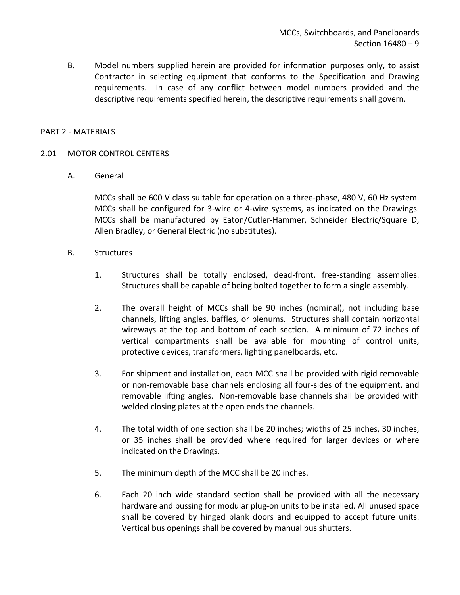B. Model numbers supplied herein are provided for information purposes only, to assist Contractor in selecting equipment that conforms to the Specification and Drawing requirements. In case of any conflict between model numbers provided and the descriptive requirements specified herein, the descriptive requirements shall govern.

#### <span id="page-10-0"></span>PART 2 - MATERIALS

#### <span id="page-10-1"></span>2.01 MOTOR CONTROL CENTERS

#### A. General

MCCs shall be 600 V class suitable for operation on a three-phase, 480 V, 60 Hz system. MCCs shall be configured for 3-wire or 4-wire systems, as indicated on the Drawings. MCCs shall be manufactured by Eaton/Cutler-Hammer, Schneider Electric/Square D, Allen Bradley, or General Electric (no substitutes).

#### B. Structures

- 1. Structures shall be totally enclosed, dead-front, free-standing assemblies. Structures shall be capable of being bolted together to form a single assembly.
- 2. The overall height of MCCs shall be 90 inches (nominal), not including base channels, lifting angles, baffles, or plenums. Structures shall contain horizontal wireways at the top and bottom of each section. A minimum of 72 inches of vertical compartments shall be available for mounting of control units, protective devices, transformers, lighting panelboards, etc.
- 3. For shipment and installation, each MCC shall be provided with rigid removable or non-removable base channels enclosing all four-sides of the equipment, and removable lifting angles. Non-removable base channels shall be provided with welded closing plates at the open ends the channels.
- 4. The total width of one section shall be 20 inches; widths of 25 inches, 30 inches, or 35 inches shall be provided where required for larger devices or where indicated on the Drawings.
- 5. The minimum depth of the MCC shall be 20 inches.
- 6. Each 20 inch wide standard section shall be provided with all the necessary hardware and bussing for modular plug-on units to be installed. All unused space shall be covered by hinged blank doors and equipped to accept future units. Vertical bus openings shall be covered by manual bus shutters.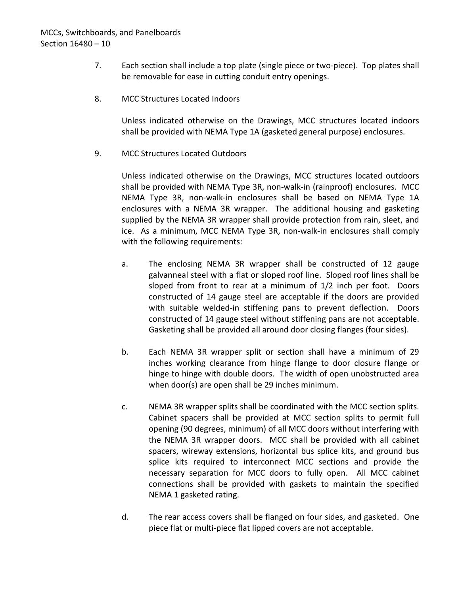- 7. Each section shall include a top plate (single piece or two-piece). Top plates shall be removable for ease in cutting conduit entry openings.
- 8. MCC Structures Located Indoors

Unless indicated otherwise on the Drawings, MCC structures located indoors shall be provided with NEMA Type 1A (gasketed general purpose) enclosures.

9. MCC Structures Located Outdoors

Unless indicated otherwise on the Drawings, MCC structures located outdoors shall be provided with NEMA Type 3R, non-walk-in (rainproof) enclosures. MCC NEMA Type 3R, non-walk-in enclosures shall be based on NEMA Type 1A enclosures with a NEMA 3R wrapper. The additional housing and gasketing supplied by the NEMA 3R wrapper shall provide protection from rain, sleet, and ice. As a minimum, MCC NEMA Type 3R, non-walk-in enclosures shall comply with the following requirements:

- a. The enclosing NEMA 3R wrapper shall be constructed of 12 gauge galvanneal steel with a flat or sloped roof line. Sloped roof lines shall be sloped from front to rear at a minimum of 1/2 inch per foot. Doors constructed of 14 gauge steel are acceptable if the doors are provided with suitable welded-in stiffening pans to prevent deflection. Doors constructed of 14 gauge steel without stiffening pans are not acceptable. Gasketing shall be provided all around door closing flanges (four sides).
- b. Each NEMA 3R wrapper split or section shall have a minimum of 29 inches working clearance from hinge flange to door closure flange or hinge to hinge with double doors. The width of open unobstructed area when door(s) are open shall be 29 inches minimum.
- c. NEMA 3R wrapper splits shall be coordinated with the MCC section splits. Cabinet spacers shall be provided at MCC section splits to permit full opening (90 degrees, minimum) of all MCC doors without interfering with the NEMA 3R wrapper doors. MCC shall be provided with all cabinet spacers, wireway extensions, horizontal bus splice kits, and ground bus splice kits required to interconnect MCC sections and provide the necessary separation for MCC doors to fully open. All MCC cabinet connections shall be provided with gaskets to maintain the specified NEMA 1 gasketed rating.
- d. The rear access covers shall be flanged on four sides, and gasketed. One piece flat or multi-piece flat lipped covers are not acceptable.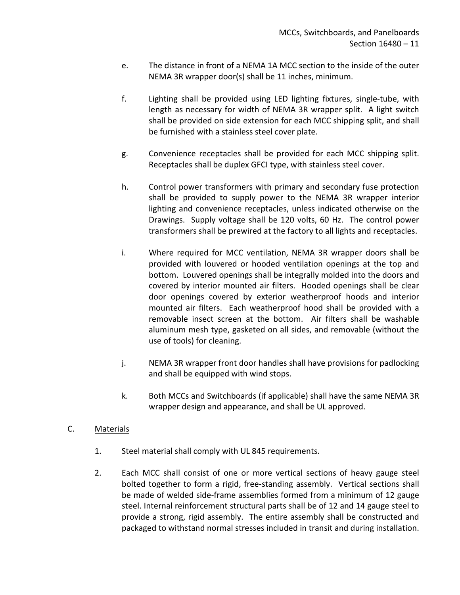- e. The distance in front of a NEMA 1A MCC section to the inside of the outer NEMA 3R wrapper door(s) shall be 11 inches, minimum.
- f. Lighting shall be provided using LED lighting fixtures, single-tube, with length as necessary for width of NEMA 3R wrapper split. A light switch shall be provided on side extension for each MCC shipping split, and shall be furnished with a stainless steel cover plate.
- g. Convenience receptacles shall be provided for each MCC shipping split. Receptacles shall be duplex GFCI type, with stainless steel cover.
- h. Control power transformers with primary and secondary fuse protection shall be provided to supply power to the NEMA 3R wrapper interior lighting and convenience receptacles, unless indicated otherwise on the Drawings. Supply voltage shall be 120 volts, 60 Hz. The control power transformers shall be prewired at the factory to all lights and receptacles.
- i. Where required for MCC ventilation, NEMA 3R wrapper doors shall be provided with louvered or hooded ventilation openings at the top and bottom. Louvered openings shall be integrally molded into the doors and covered by interior mounted air filters. Hooded openings shall be clear door openings covered by exterior weatherproof hoods and interior mounted air filters. Each weatherproof hood shall be provided with a removable insect screen at the bottom. Air filters shall be washable aluminum mesh type, gasketed on all sides, and removable (without the use of tools) for cleaning.
- j. NEMA 3R wrapper front door handles shall have provisions for padlocking and shall be equipped with wind stops.
- k. Both MCCs and Switchboards (if applicable) shall have the same NEMA 3R wrapper design and appearance, and shall be UL approved.
- C. Materials
	- 1. Steel material shall comply with UL 845 requirements.
	- 2. Each MCC shall consist of one or more vertical sections of heavy gauge steel bolted together to form a rigid, free-standing assembly. Vertical sections shall be made of welded side-frame assemblies formed from a minimum of 12 gauge steel. Internal reinforcement structural parts shall be of 12 and 14 gauge steel to provide a strong, rigid assembly. The entire assembly shall be constructed and packaged to withstand normal stresses included in transit and during installation.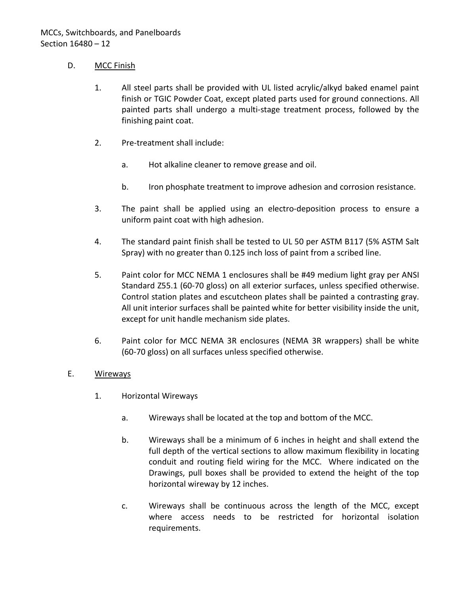### D. MCC Finish

- 1. All steel parts shall be provided with UL listed acrylic/alkyd baked enamel paint finish or TGIC Powder Coat, except plated parts used for ground connections. All painted parts shall undergo a multi-stage treatment process, followed by the finishing paint coat.
- 2. Pre-treatment shall include:
	- a. Hot alkaline cleaner to remove grease and oil.
	- b. Iron phosphate treatment to improve adhesion and corrosion resistance.
- 3. The paint shall be applied using an electro-deposition process to ensure a uniform paint coat with high adhesion.
- 4. The standard paint finish shall be tested to UL 50 per ASTM B117 (5% ASTM Salt Spray) with no greater than 0.125 inch loss of paint from a scribed line.
- 5. Paint color for MCC NEMA 1 enclosures shall be #49 medium light gray per ANSI Standard Z55.1 (60-70 gloss) on all exterior surfaces, unless specified otherwise. Control station plates and escutcheon plates shall be painted a contrasting gray. All unit interior surfaces shall be painted white for better visibility inside the unit, except for unit handle mechanism side plates.
- 6. Paint color for MCC NEMA 3R enclosures (NEMA 3R wrappers) shall be white (60-70 gloss) on all surfaces unless specified otherwise.

## E. Wireways

- 1. Horizontal Wireways
	- a. Wireways shall be located at the top and bottom of the MCC.
	- b. Wireways shall be a minimum of 6 inches in height and shall extend the full depth of the vertical sections to allow maximum flexibility in locating conduit and routing field wiring for the MCC. Where indicated on the Drawings, pull boxes shall be provided to extend the height of the top horizontal wireway by 12 inches.
	- c. Wireways shall be continuous across the length of the MCC, except where access needs to be restricted for horizontal isolation requirements.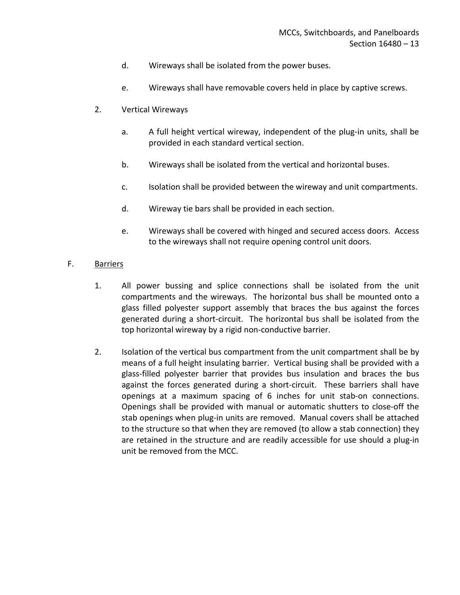- d. Wireways shall be isolated from the power buses.
- e. Wireways shall have removable covers held in place by captive screws.
- 2. Vertical Wireways
	- a. A full height vertical wireway, independent of the plug-in units, shall be provided in each standard vertical section.
	- b. Wireways shall be isolated from the vertical and horizontal buses.
	- c. Isolation shall be provided between the wireway and unit compartments.
	- d. Wireway tie bars shall be provided in each section.
	- e. Wireways shall be covered with hinged and secured access doors. Access to the wireways shall not require opening control unit doors.

### F. Barriers

- 1. All power bussing and splice connections shall be isolated from the unit compartments and the wireways. The horizontal bus shall be mounted onto a glass filled polyester support assembly that braces the bus against the forces generated during a short-circuit. The horizontal bus shall be isolated from the top horizontal wireway by a rigid non-conductive barrier.
- 2. Isolation of the vertical bus compartment from the unit compartment shall be by means of a full height insulating barrier. Vertical busing shall be provided with a glass-filled polyester barrier that provides bus insulation and braces the bus against the forces generated during a short-circuit. These barriers shall have openings at a maximum spacing of 6 inches for unit stab-on connections. Openings shall be provided with manual or automatic shutters to close-off the stab openings when plug-in units are removed. Manual covers shall be attached to the structure so that when they are removed (to allow a stab connection) they are retained in the structure and are readily accessible for use should a plug-in unit be removed from the MCC.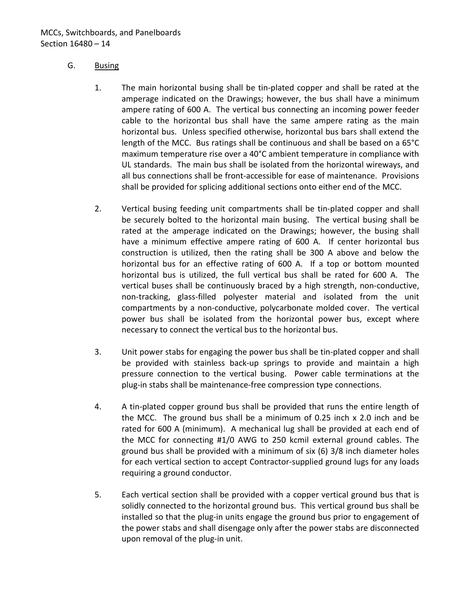### G. Busing

- 1. The main horizontal busing shall be tin-plated copper and shall be rated at the amperage indicated on the Drawings; however, the bus shall have a minimum ampere rating of 600 A. The vertical bus connecting an incoming power feeder cable to the horizontal bus shall have the same ampere rating as the main horizontal bus. Unless specified otherwise, horizontal bus bars shall extend the length of the MCC. Bus ratings shall be continuous and shall be based on a 65°C maximum temperature rise over a 40°C ambient temperature in compliance with UL standards. The main bus shall be isolated from the horizontal wireways, and all bus connections shall be front-accessible for ease of maintenance. Provisions shall be provided for splicing additional sections onto either end of the MCC.
- 2. Vertical busing feeding unit compartments shall be tin-plated copper and shall be securely bolted to the horizontal main busing. The vertical busing shall be rated at the amperage indicated on the Drawings; however, the busing shall have a minimum effective ampere rating of 600 A. If center horizontal bus construction is utilized, then the rating shall be 300 A above and below the horizontal bus for an effective rating of 600 A. If a top or bottom mounted horizontal bus is utilized, the full vertical bus shall be rated for 600 A. The vertical buses shall be continuously braced by a high strength, non-conductive, non-tracking, glass-filled polyester material and isolated from the unit compartments by a non-conductive, polycarbonate molded cover. The vertical power bus shall be isolated from the horizontal power bus, except where necessary to connect the vertical bus to the horizontal bus.
- 3. Unit power stabs for engaging the power bus shall be tin-plated copper and shall be provided with stainless back-up springs to provide and maintain a high pressure connection to the vertical busing. Power cable terminations at the plug-in stabs shall be maintenance-free compression type connections.
- 4. A tin-plated copper ground bus shall be provided that runs the entire length of the MCC. The ground bus shall be a minimum of  $0.25$  inch  $\times$  2.0 inch and be rated for 600 A (minimum). A mechanical lug shall be provided at each end of the MCC for connecting #1/0 AWG to 250 kcmil external ground cables. The ground bus shall be provided with a minimum of six (6) 3/8 inch diameter holes for each vertical section to accept Contractor-supplied ground lugs for any loads requiring a ground conductor.
- 5. Each vertical section shall be provided with a copper vertical ground bus that is solidly connected to the horizontal ground bus. This vertical ground bus shall be installed so that the plug-in units engage the ground bus prior to engagement of the power stabs and shall disengage only after the power stabs are disconnected upon removal of the plug-in unit.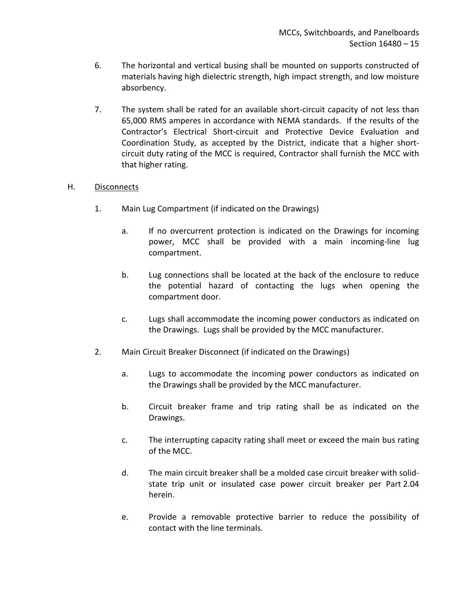- 6. The horizontal and vertical busing shall be mounted on supports constructed of materials having high dielectric strength, high impact strength, and low moisture absorbency.
- 7. The system shall be rated for an available short-circuit capacity of not less than 65,000 RMS amperes in accordance with NEMA standards. If the results of the Contractor's Electrical Short-circuit and Protective Device Evaluation and Coordination Study, as accepted by the District, indicate that a higher shortcircuit duty rating of the MCC is required, Contractor shall furnish the MCC with that higher rating.

## H. Disconnects

- 1. Main Lug Compartment (if indicated on the Drawings)
	- a. If no overcurrent protection is indicated on the Drawings for incoming power, MCC shall be provided with a main incoming-line lug compartment.
	- b. Lug connections shall be located at the back of the enclosure to reduce the potential hazard of contacting the lugs when opening the compartment door.
	- c. Lugs shall accommodate the incoming power conductors as indicated on the Drawings. Lugs shall be provided by the MCC manufacturer.
- 2. Main Circuit Breaker Disconnect (if indicated on the Drawings)
	- a. Lugs to accommodate the incoming power conductors as indicated on the Drawings shall be provided by the MCC manufacturer.
	- b. Circuit breaker frame and trip rating shall be as indicated on the Drawings.
	- c. The interrupting capacity rating shall meet or exceed the main bus rating of the MCC.
	- d. The main circuit breaker shall be a molded case circuit breaker with solidstate trip unit or insulated case power circuit breaker per Part 2.04 herein.
	- e. Provide a removable protective barrier to reduce the possibility of contact with the line terminals.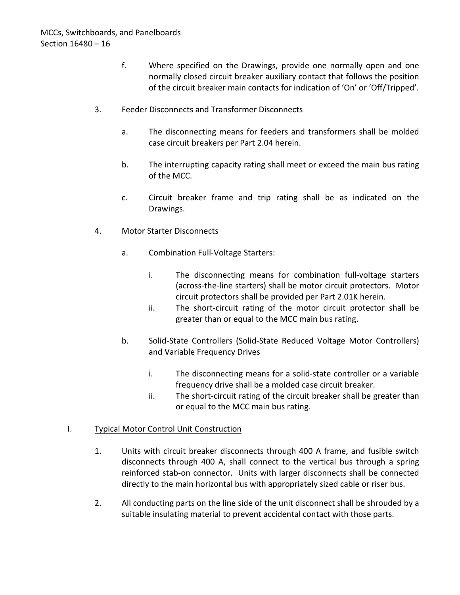- f. Where specified on the Drawings, provide one normally open and one normally closed circuit breaker auxiliary contact that follows the position of the circuit breaker main contacts for indication of 'On' or 'Off/Tripped'.
- 3. Feeder Disconnects and Transformer Disconnects
	- a. The disconnecting means for feeders and transformers shall be molded case circuit breakers per Part 2.04 herein.
	- b. The interrupting capacity rating shall meet or exceed the main bus rating of the MCC.
	- c. Circuit breaker frame and trip rating shall be as indicated on the Drawings.
- 4. Motor Starter Disconnects
	- a. Combination Full-Voltage Starters:
		- i. The disconnecting means for combination full-voltage starters (across-the-line starters) shall be motor circuit protectors. Motor circuit protectors shall be provided per Part 2.01K herein.
		- ii. The short-circuit rating of the motor circuit protector shall be greater than or equal to the MCC main bus rating.
	- b. Solid-State Controllers (Solid-State Reduced Voltage Motor Controllers) and Variable Frequency Drives
		- i. The disconnecting means for a solid-state controller or a variable frequency drive shall be a molded case circuit breaker.
		- ii. The short-circuit rating of the circuit breaker shall be greater than or equal to the MCC main bus rating.

### I. Typical Motor Control Unit Construction

- 1. Units with circuit breaker disconnects through 400 A frame, and fusible switch disconnects through 400 A, shall connect to the vertical bus through a spring reinforced stab-on connector. Units with larger disconnects shall be connected directly to the main horizontal bus with appropriately sized cable or riser bus.
- 2. All conducting parts on the line side of the unit disconnect shall be shrouded by a suitable insulating material to prevent accidental contact with those parts.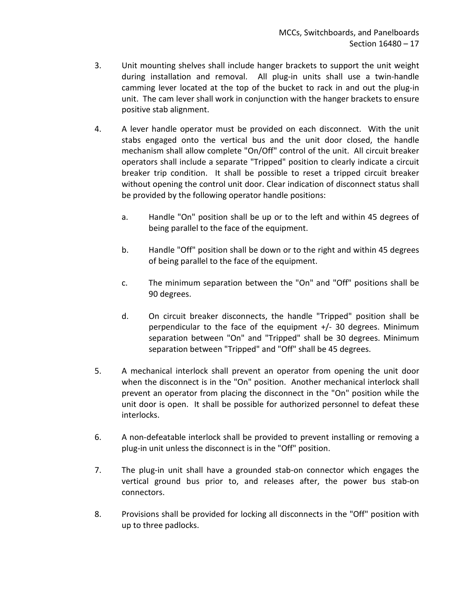- 3. Unit mounting shelves shall include hanger brackets to support the unit weight during installation and removal. All plug-in units shall use a twin-handle camming lever located at the top of the bucket to rack in and out the plug-in unit. The cam lever shall work in conjunction with the hanger brackets to ensure positive stab alignment.
- 4. A lever handle operator must be provided on each disconnect. With the unit stabs engaged onto the vertical bus and the unit door closed, the handle mechanism shall allow complete "On/Off" control of the unit. All circuit breaker operators shall include a separate "Tripped" position to clearly indicate a circuit breaker trip condition. It shall be possible to reset a tripped circuit breaker without opening the control unit door. Clear indication of disconnect status shall be provided by the following operator handle positions:
	- a. Handle "On" position shall be up or to the left and within 45 degrees of being parallel to the face of the equipment.
	- b. Handle "Off" position shall be down or to the right and within 45 degrees of being parallel to the face of the equipment.
	- c. The minimum separation between the "On" and "Off" positions shall be 90 degrees.
	- d. On circuit breaker disconnects, the handle "Tripped" position shall be perpendicular to the face of the equipment +/- 30 degrees. Minimum separation between "On" and "Tripped" shall be 30 degrees. Minimum separation between "Tripped" and "Off" shall be 45 degrees.
- 5. A mechanical interlock shall prevent an operator from opening the unit door when the disconnect is in the "On" position. Another mechanical interlock shall prevent an operator from placing the disconnect in the "On" position while the unit door is open. It shall be possible for authorized personnel to defeat these interlocks.
- 6. A non-defeatable interlock shall be provided to prevent installing or removing a plug-in unit unless the disconnect is in the "Off" position.
- 7. The plug-in unit shall have a grounded stab-on connector which engages the vertical ground bus prior to, and releases after, the power bus stab-on connectors.
- 8. Provisions shall be provided for locking all disconnects in the "Off" position with up to three padlocks.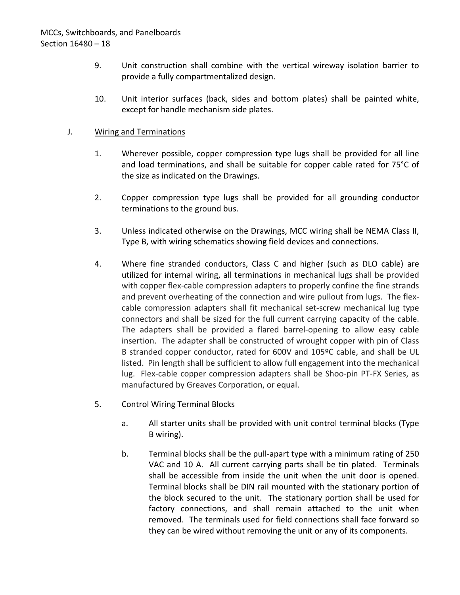- 9. Unit construction shall combine with the vertical wireway isolation barrier to provide a fully compartmentalized design.
- 10. Unit interior surfaces (back, sides and bottom plates) shall be painted white, except for handle mechanism side plates.

### J. Wiring and Terminations

- 1. Wherever possible, copper compression type lugs shall be provided for all line and load terminations, and shall be suitable for copper cable rated for 75°C of the size as indicated on the Drawings.
- 2. Copper compression type lugs shall be provided for all grounding conductor terminations to the ground bus.
- 3. Unless indicated otherwise on the Drawings, MCC wiring shall be NEMA Class II, Type B, with wiring schematics showing field devices and connections.
- 4. Where fine stranded conductors, Class C and higher (such as DLO cable) are utilized for internal wiring, all terminations in mechanical lugs shall be provided with copper flex-cable compression adapters to properly confine the fine strands and prevent overheating of the connection and wire pullout from lugs. The flexcable compression adapters shall fit mechanical set-screw mechanical lug type connectors and shall be sized for the full current carrying capacity of the cable. The adapters shall be provided a flared barrel-opening to allow easy cable insertion. The adapter shall be constructed of wrought copper with pin of Class B stranded copper conductor, rated for 600V and 105ºC cable, and shall be UL listed. Pin length shall be sufficient to allow full engagement into the mechanical lug. Flex-cable copper compression adapters shall be Shoo-pin PT-FX Series, as manufactured by Greaves Corporation, or equal.
- 5. Control Wiring Terminal Blocks
	- a. All starter units shall be provided with unit control terminal blocks (Type B wiring).
	- b. Terminal blocks shall be the pull-apart type with a minimum rating of 250 VAC and 10 A. All current carrying parts shall be tin plated. Terminals shall be accessible from inside the unit when the unit door is opened. Terminal blocks shall be DIN rail mounted with the stationary portion of the block secured to the unit. The stationary portion shall be used for factory connections, and shall remain attached to the unit when removed. The terminals used for field connections shall face forward so they can be wired without removing the unit or any of its components.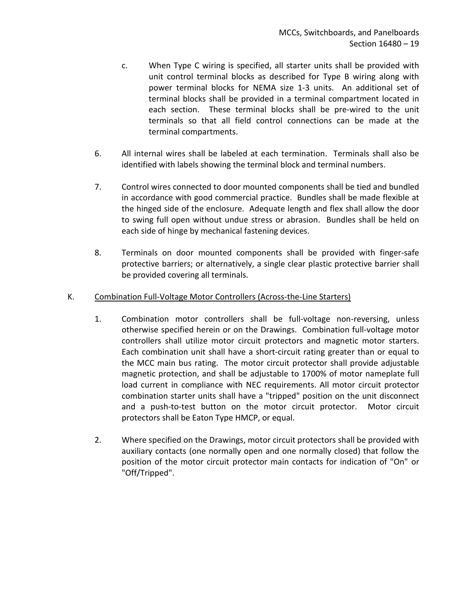- c. When Type C wiring is specified, all starter units shall be provided with unit control terminal blocks as described for Type B wiring along with power terminal blocks for NEMA size 1-3 units. An additional set of terminal blocks shall be provided in a terminal compartment located in each section. These terminal blocks shall be pre-wired to the unit terminals so that all field control connections can be made at the terminal compartments.
- 6. All internal wires shall be labeled at each termination. Terminals shall also be identified with labels showing the terminal block and terminal numbers.
- 7. Control wires connected to door mounted components shall be tied and bundled in accordance with good commercial practice. Bundles shall be made flexible at the hinged side of the enclosure. Adequate length and flex shall allow the door to swing full open without undue stress or abrasion. Bundles shall be held on each side of hinge by mechanical fastening devices.
- 8. Terminals on door mounted components shall be provided with finger-safe protective barriers; or alternatively, a single clear plastic protective barrier shall be provided covering all terminals.

### K. Combination Full-Voltage Motor Controllers (Across-the-Line Starters)

- 1. Combination motor controllers shall be full-voltage non-reversing, unless otherwise specified herein or on the Drawings. Combination full-voltage motor controllers shall utilize motor circuit protectors and magnetic motor starters. Each combination unit shall have a short-circuit rating greater than or equal to the MCC main bus rating. The motor circuit protector shall provide adjustable magnetic protection, and shall be adjustable to 1700% of motor nameplate full load current in compliance with NEC requirements. All motor circuit protector combination starter units shall have a "tripped" position on the unit disconnect and a push-to-test button on the motor circuit protector. Motor circuit protectors shall be Eaton Type HMCP, or equal.
- 2. Where specified on the Drawings, motor circuit protectors shall be provided with auxiliary contacts (one normally open and one normally closed) that follow the position of the motor circuit protector main contacts for indication of "On" or "Off/Tripped".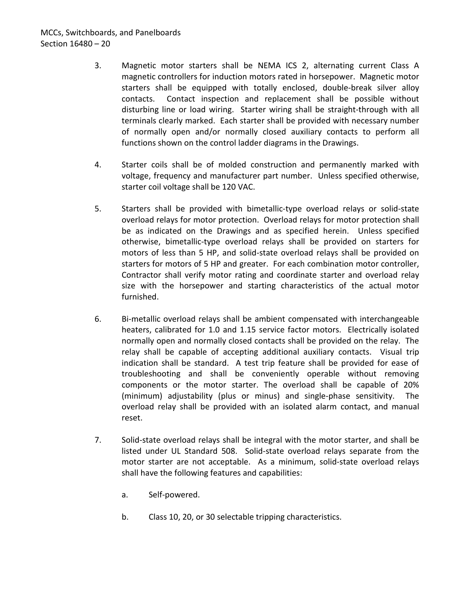# MCCs, Switchboards, and Panelboards Section 16480 – 20

- 3. Magnetic motor starters shall be NEMA ICS 2, alternating current Class A magnetic controllers for induction motors rated in horsepower. Magnetic motor starters shall be equipped with totally enclosed, double-break silver alloy contacts. Contact inspection and replacement shall be possible without disturbing line or load wiring. Starter wiring shall be straight-through with all terminals clearly marked. Each starter shall be provided with necessary number of normally open and/or normally closed auxiliary contacts to perform all functions shown on the control ladder diagrams in the Drawings.
- 4. Starter coils shall be of molded construction and permanently marked with voltage, frequency and manufacturer part number. Unless specified otherwise, starter coil voltage shall be 120 VAC.
- 5. Starters shall be provided with bimetallic-type overload relays or solid-state overload relays for motor protection. Overload relays for motor protection shall be as indicated on the Drawings and as specified herein. Unless specified otherwise, bimetallic-type overload relays shall be provided on starters for motors of less than 5 HP, and solid-state overload relays shall be provided on starters for motors of 5 HP and greater. For each combination motor controller, Contractor shall verify motor rating and coordinate starter and overload relay size with the horsepower and starting characteristics of the actual motor furnished.
- 6. Bi-metallic overload relays shall be ambient compensated with interchangeable heaters, calibrated for 1.0 and 1.15 service factor motors. Electrically isolated normally open and normally closed contacts shall be provided on the relay. The relay shall be capable of accepting additional auxiliary contacts. Visual trip indication shall be standard. A test trip feature shall be provided for ease of troubleshooting and shall be conveniently operable without removing components or the motor starter. The overload shall be capable of 20% (minimum) adjustability (plus or minus) and single-phase sensitivity. The overload relay shall be provided with an isolated alarm contact, and manual reset.
- 7. Solid-state overload relays shall be integral with the motor starter, and shall be listed under UL Standard 508. Solid-state overload relays separate from the motor starter are not acceptable. As a minimum, solid-state overload relays shall have the following features and capabilities:
	- a. Self-powered.
	- b. Class 10, 20, or 30 selectable tripping characteristics.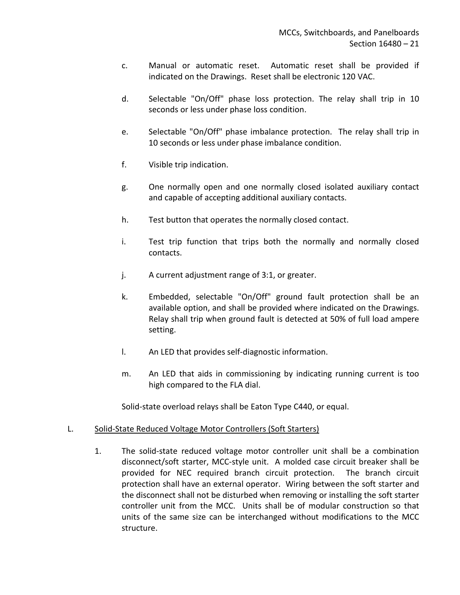- c. Manual or automatic reset. Automatic reset shall be provided if indicated on the Drawings. Reset shall be electronic 120 VAC.
- d. Selectable "On/Off" phase loss protection. The relay shall trip in 10 seconds or less under phase loss condition.
- e. Selectable "On/Off" phase imbalance protection. The relay shall trip in 10 seconds or less under phase imbalance condition.
- f. Visible trip indication.
- g. One normally open and one normally closed isolated auxiliary contact and capable of accepting additional auxiliary contacts.
- h. Test button that operates the normally closed contact.
- i. Test trip function that trips both the normally and normally closed contacts.
- j. A current adjustment range of 3:1, or greater.
- k. Embedded, selectable "On/Off" ground fault protection shall be an available option, and shall be provided where indicated on the Drawings. Relay shall trip when ground fault is detected at 50% of full load ampere setting.
- l. An LED that provides self-diagnostic information.
- m. An LED that aids in commissioning by indicating running current is too high compared to the FLA dial.

Solid-state overload relays shall be Eaton Type C440, or equal.

### L. Solid-State Reduced Voltage Motor Controllers (Soft Starters)

1. The solid-state reduced voltage motor controller unit shall be a combination disconnect/soft starter, MCC-style unit. A molded case circuit breaker shall be provided for NEC required branch circuit protection. The branch circuit protection shall have an external operator. Wiring between the soft starter and the disconnect shall not be disturbed when removing or installing the soft starter controller unit from the MCC. Units shall be of modular construction so that units of the same size can be interchanged without modifications to the MCC structure.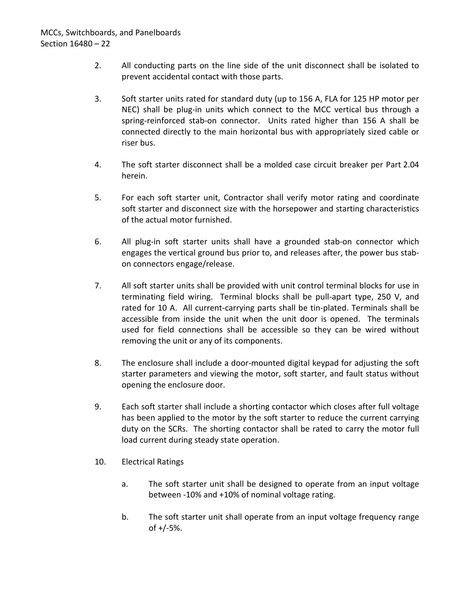- 2. All conducting parts on the line side of the unit disconnect shall be isolated to prevent accidental contact with those parts.
- 3. Soft starter units rated for standard duty (up to 156 A, FLA for 125 HP motor per NEC) shall be plug-in units which connect to the MCC vertical bus through a spring-reinforced stab-on connector. Units rated higher than 156 A shall be connected directly to the main horizontal bus with appropriately sized cable or riser bus.
- 4. The soft starter disconnect shall be a molded case circuit breaker per Part 2.04 herein.
- 5. For each soft starter unit, Contractor shall verify motor rating and coordinate soft starter and disconnect size with the horsepower and starting characteristics of the actual motor furnished.
- 6. All plug-in soft starter units shall have a grounded stab-on connector which engages the vertical ground bus prior to, and releases after, the power bus stabon connectors engage/release.
- 7. All soft starter units shall be provided with unit control terminal blocks for use in terminating field wiring. Terminal blocks shall be pull-apart type, 250 V, and rated for 10 A. All current-carrying parts shall be tin-plated. Terminals shall be accessible from inside the unit when the unit door is opened. The terminals used for field connections shall be accessible so they can be wired without removing the unit or any of its components.
- 8. The enclosure shall include a door-mounted digital keypad for adjusting the soft starter parameters and viewing the motor, soft starter, and fault status without opening the enclosure door.
- 9. Each soft starter shall include a shorting contactor which closes after full voltage has been applied to the motor by the soft starter to reduce the current carrying duty on the SCRs. The shorting contactor shall be rated to carry the motor full load current during steady state operation.
- 10. Electrical Ratings
	- a. The soft starter unit shall be designed to operate from an input voltage between -10% and +10% of nominal voltage rating.
	- b. The soft starter unit shall operate from an input voltage frequency range of +/-5%.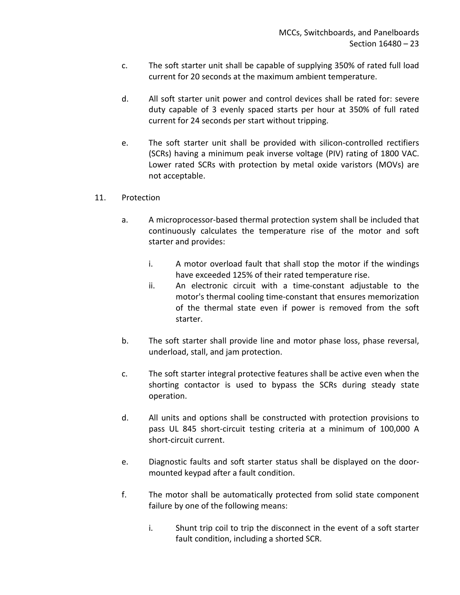- c. The soft starter unit shall be capable of supplying 350% of rated full load current for 20 seconds at the maximum ambient temperature.
- d. All soft starter unit power and control devices shall be rated for: severe duty capable of 3 evenly spaced starts per hour at 350% of full rated current for 24 seconds per start without tripping.
- e. The soft starter unit shall be provided with silicon-controlled rectifiers (SCRs) having a minimum peak inverse voltage (PIV) rating of 1800 VAC. Lower rated SCRs with protection by metal oxide varistors (MOVs) are not acceptable.

### 11. Protection

- a. A microprocessor-based thermal protection system shall be included that continuously calculates the temperature rise of the motor and soft starter and provides:
	- i. A motor overload fault that shall stop the motor if the windings have exceeded 125% of their rated temperature rise.
	- ii. An electronic circuit with a time-constant adjustable to the motor's thermal cooling time-constant that ensures memorization of the thermal state even if power is removed from the soft starter.
- b. The soft starter shall provide line and motor phase loss, phase reversal, underload, stall, and jam protection.
- c. The soft starter integral protective features shall be active even when the shorting contactor is used to bypass the SCRs during steady state operation.
- d. All units and options shall be constructed with protection provisions to pass UL 845 short-circuit testing criteria at a minimum of 100,000 A short-circuit current.
- e. Diagnostic faults and soft starter status shall be displayed on the doormounted keypad after a fault condition.
- f. The motor shall be automatically protected from solid state component failure by one of the following means:
	- i. Shunt trip coil to trip the disconnect in the event of a soft starter fault condition, including a shorted SCR.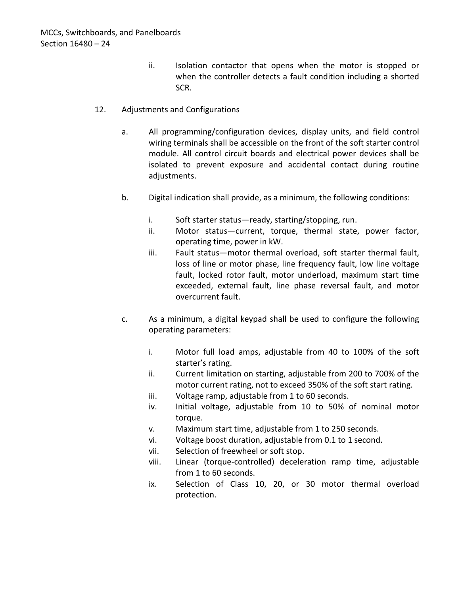- ii. Isolation contactor that opens when the motor is stopped or when the controller detects a fault condition including a shorted SCR.
- 12. Adjustments and Configurations
	- a. All programming/configuration devices, display units, and field control wiring terminals shall be accessible on the front of the soft starter control module. All control circuit boards and electrical power devices shall be isolated to prevent exposure and accidental contact during routine adjustments.
	- b. Digital indication shall provide, as a minimum, the following conditions:
		- i. Soft starter status—ready, starting/stopping, run.
		- ii. Motor status—current, torque, thermal state, power factor, operating time, power in kW.
		- iii. Fault status—motor thermal overload, soft starter thermal fault, loss of line or motor phase, line frequency fault, low line voltage fault, locked rotor fault, motor underload, maximum start time exceeded, external fault, line phase reversal fault, and motor overcurrent fault.
	- c. As a minimum, a digital keypad shall be used to configure the following operating parameters:
		- i. Motor full load amps, adjustable from 40 to 100% of the soft starter's rating.
		- ii. Current limitation on starting, adjustable from 200 to 700% of the motor current rating, not to exceed 350% of the soft start rating.
		- iii. Voltage ramp, adjustable from 1 to 60 seconds.
		- iv. Initial voltage, adjustable from 10 to 50% of nominal motor torque.
		- v. Maximum start time, adjustable from 1 to 250 seconds.
		- vi. Voltage boost duration, adjustable from 0.1 to 1 second.
		- vii. Selection of freewheel or soft stop.
		- viii. Linear (torque-controlled) deceleration ramp time, adjustable from 1 to 60 seconds.
		- ix. Selection of Class 10, 20, or 30 motor thermal overload protection.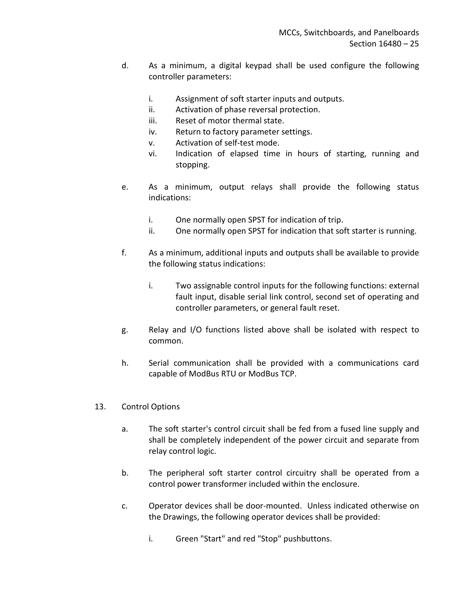- d. As a minimum, a digital keypad shall be used configure the following controller parameters:
	- i. Assignment of soft starter inputs and outputs.
	- ii. Activation of phase reversal protection.
	- iii. Reset of motor thermal state.
	- iv. Return to factory parameter settings.
	- v. Activation of self-test mode.
	- vi. Indication of elapsed time in hours of starting, running and stopping.
- e. As a minimum, output relays shall provide the following status indications:
	- i. One normally open SPST for indication of trip.
	- ii. One normally open SPST for indication that soft starter is running.
- f. As a minimum, additional inputs and outputs shall be available to provide the following status indications:
	- i. Two assignable control inputs for the following functions: external fault input, disable serial link control, second set of operating and controller parameters, or general fault reset.
- g. Relay and I/O functions listed above shall be isolated with respect to common.
- h. Serial communication shall be provided with a communications card capable of ModBus RTU or ModBus TCP.
- 13. Control Options
	- a. The soft starter's control circuit shall be fed from a fused line supply and shall be completely independent of the power circuit and separate from relay control logic.
	- b. The peripheral soft starter control circuitry shall be operated from a control power transformer included within the enclosure.
	- c. Operator devices shall be door-mounted. Unless indicated otherwise on the Drawings, the following operator devices shall be provided:
		- i. Green "Start" and red "Stop" pushbuttons.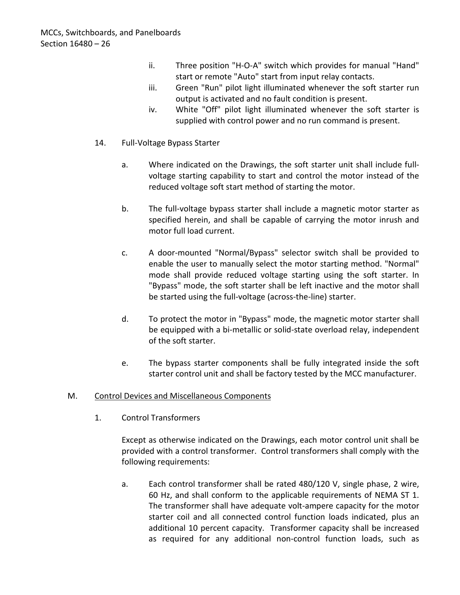- ii. Three position "H-O-A" switch which provides for manual "Hand" start or remote "Auto" start from input relay contacts.
- iii. Green "Run" pilot light illuminated whenever the soft starter run output is activated and no fault condition is present.
- iv. White "Off" pilot light illuminated whenever the soft starter is supplied with control power and no run command is present.
- 14. Full-Voltage Bypass Starter
	- a. Where indicated on the Drawings, the soft starter unit shall include fullvoltage starting capability to start and control the motor instead of the reduced voltage soft start method of starting the motor.
	- b. The full-voltage bypass starter shall include a magnetic motor starter as specified herein, and shall be capable of carrying the motor inrush and motor full load current.
	- c. A door-mounted "Normal/Bypass" selector switch shall be provided to enable the user to manually select the motor starting method. "Normal" mode shall provide reduced voltage starting using the soft starter. In "Bypass" mode, the soft starter shall be left inactive and the motor shall be started using the full-voltage (across-the-line) starter.
	- d. To protect the motor in "Bypass" mode, the magnetic motor starter shall be equipped with a bi-metallic or solid-state overload relay, independent of the soft starter.
	- e. The bypass starter components shall be fully integrated inside the soft starter control unit and shall be factory tested by the MCC manufacturer.

## M. Control Devices and Miscellaneous Components

1. Control Transformers

Except as otherwise indicated on the Drawings, each motor control unit shall be provided with a control transformer. Control transformers shall comply with the following requirements:

a. Each control transformer shall be rated 480/120 V, single phase, 2 wire, 60 Hz, and shall conform to the applicable requirements of NEMA ST 1. The transformer shall have adequate volt-ampere capacity for the motor starter coil and all connected control function loads indicated, plus an additional 10 percent capacity. Transformer capacity shall be increased as required for any additional non-control function loads, such as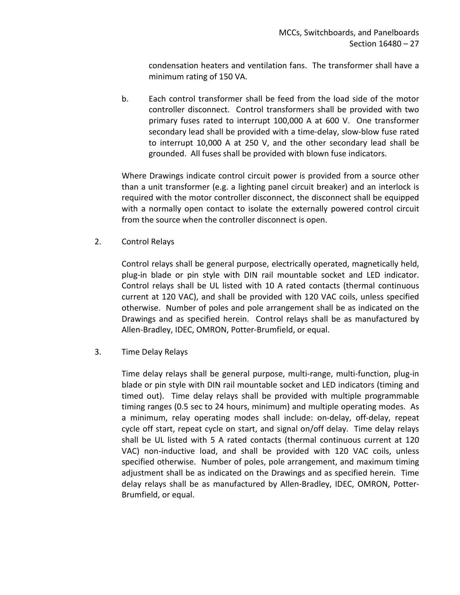condensation heaters and ventilation fans. The transformer shall have a minimum rating of 150 VA.

b. Each control transformer shall be feed from the load side of the motor controller disconnect. Control transformers shall be provided with two primary fuses rated to interrupt 100,000 A at 600 V.One transformer secondary lead shall be provided with a time-delay, slow-blow fuse rated to interrupt 10,000 A at 250 V, and the other secondary lead shall be grounded. All fuses shall be provided with blown fuse indicators.

Where Drawings indicate control circuit power is provided from a source other than a unit transformer (e.g. a lighting panel circuit breaker) and an interlock is required with the motor controller disconnect, the disconnect shall be equipped with a normally open contact to isolate the externally powered control circuit from the source when the controller disconnect is open.

2. Control Relays

Control relays shall be general purpose, electrically operated, magnetically held, plug-in blade or pin style with DIN rail mountable socket and LED indicator. Control relays shall be UL listed with 10 A rated contacts (thermal continuous current at 120 VAC), and shall be provided with 120 VAC coils, unless specified otherwise. Number of poles and pole arrangement shall be as indicated on the Drawings and as specified herein. Control relays shall be as manufactured by Allen-Bradley, IDEC, OMRON, Potter-Brumfield, or equal.

3. Time Delay Relays

Time delay relays shall be general purpose, multi-range, multi-function, plug-in blade or pin style with DIN rail mountable socket and LED indicators (timing and timed out). Time delay relays shall be provided with multiple programmable timing ranges (0.5 sec to 24 hours, minimum) and multiple operating modes. As a minimum, relay operating modes shall include: on-delay, off-delay, repeat cycle off start, repeat cycle on start, and signal on/off delay. Time delay relays shall be UL listed with 5 A rated contacts (thermal continuous current at 120 VAC) non-inductive load, and shall be provided with 120 VAC coils, unless specified otherwise. Number of poles, pole arrangement, and maximum timing adjustment shall be as indicated on the Drawings and as specified herein. Time delay relays shall be as manufactured by Allen-Bradley, IDEC, OMRON, Potter-Brumfield, or equal.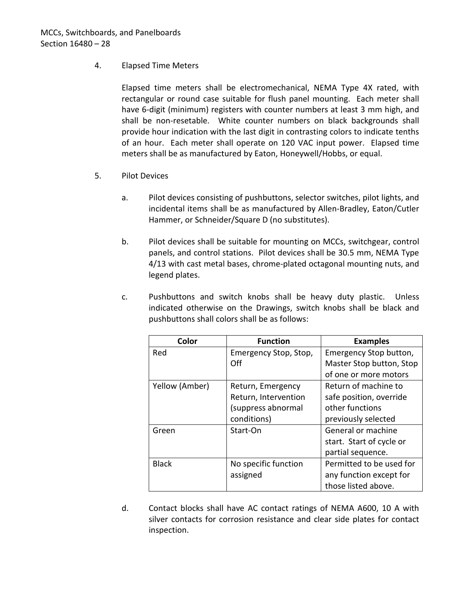### 4. Elapsed Time Meters

Elapsed time meters shall be electromechanical, NEMA Type 4X rated, with rectangular or round case suitable for flush panel mounting. Each meter shall have 6-digit (minimum) registers with counter numbers at least 3 mm high, and shall be non-resetable. White counter numbers on black backgrounds shall provide hour indication with the last digit in contrasting colors to indicate tenths of an hour. Each meter shall operate on 120 VAC input power. Elapsed time meters shall be as manufactured by Eaton, Honeywell/Hobbs, or equal.

- 5. Pilot Devices
	- a. Pilot devices consisting of pushbuttons, selector switches, pilot lights, and incidental items shall be as manufactured by Allen-Bradley, Eaton/Cutler Hammer, or Schneider/Square D (no substitutes).
	- b. Pilot devices shall be suitable for mounting on MCCs, switchgear, control panels, and control stations. Pilot devices shall be 30.5 mm, NEMA Type 4/13 with cast metal bases, chrome-plated octagonal mounting nuts, and legend plates.
	- c. Pushbuttons and switch knobs shall be heavy duty plastic. Unless indicated otherwise on the Drawings, switch knobs shall be black and pushbuttons shall colors shall be as follows:

| Color          | <b>Function</b>       | <b>Examples</b>          |
|----------------|-----------------------|--------------------------|
| Red            | Emergency Stop, Stop, | Emergency Stop button,   |
|                | Off                   | Master Stop button, Stop |
|                |                       | of one or more motors    |
| Yellow (Amber) | Return, Emergency     | Return of machine to     |
|                | Return, Intervention  | safe position, override  |
|                | (suppress abnormal    | other functions          |
|                | conditions)           | previously selected      |
| Green          | Start-On              | General or machine       |
|                |                       | start. Start of cycle or |
|                |                       | partial sequence.        |
| <b>Black</b>   | No specific function  | Permitted to be used for |
|                | assigned              | any function except for  |
|                |                       | those listed above.      |

d. Contact blocks shall have AC contact ratings of NEMA A600, 10 A with silver contacts for corrosion resistance and clear side plates for contact inspection.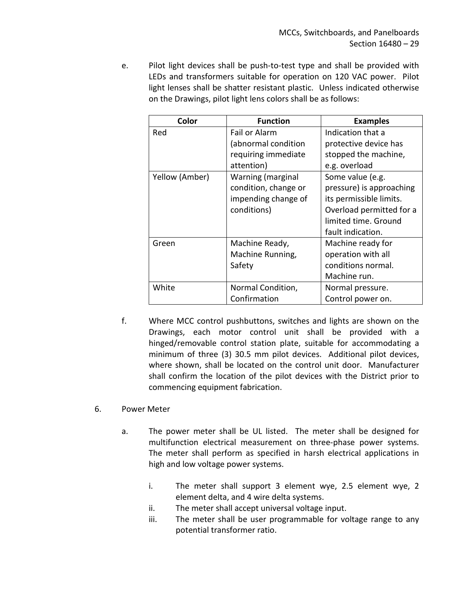e. Pilot light devices shall be push-to-test type and shall be provided with LEDs and transformers suitable for operation on 120 VAC power. Pilot light lenses shall be shatter resistant plastic. Unless indicated otherwise on the Drawings, pilot light lens colors shall be as follows:

| Color          | <b>Function</b>      | <b>Examples</b>          |
|----------------|----------------------|--------------------------|
| Red            | Fail or Alarm        | Indication that a        |
|                | (abnormal condition  | protective device has    |
|                | requiring immediate  | stopped the machine,     |
|                | attention)           | e.g. overload            |
| Yellow (Amber) | Warning (marginal    | Some value (e.g.         |
|                | condition, change or | pressure) is approaching |
|                | impending change of  | its permissible limits.  |
|                | conditions)          | Overload permitted for a |
|                |                      | limited time. Ground     |
|                |                      | fault indication.        |
| Green          | Machine Ready,       | Machine ready for        |
|                | Machine Running,     | operation with all       |
|                | Safety               | conditions normal.       |
|                |                      | Machine run.             |
| White          | Normal Condition,    | Normal pressure.         |
|                | Confirmation         | Control power on.        |

- f. Where MCC control pushbuttons, switches and lights are shown on the Drawings, each motor control unit shall be provided with a hinged/removable control station plate, suitable for accommodating a minimum of three (3) 30.5 mm pilot devices. Additional pilot devices, where shown, shall be located on the control unit door. Manufacturer shall confirm the location of the pilot devices with the District prior to commencing equipment fabrication.
- 6. Power Meter
	- a. The power meter shall be UL listed. The meter shall be designed for multifunction electrical measurement on three-phase power systems. The meter shall perform as specified in harsh electrical applications in high and low voltage power systems.
		- i. The meter shall support 3 element wye, 2.5 element wye, 2 element delta, and 4 wire delta systems.
		- ii. The meter shall accept universal voltage input.
		- iii. The meter shall be user programmable for voltage range to any potential transformer ratio.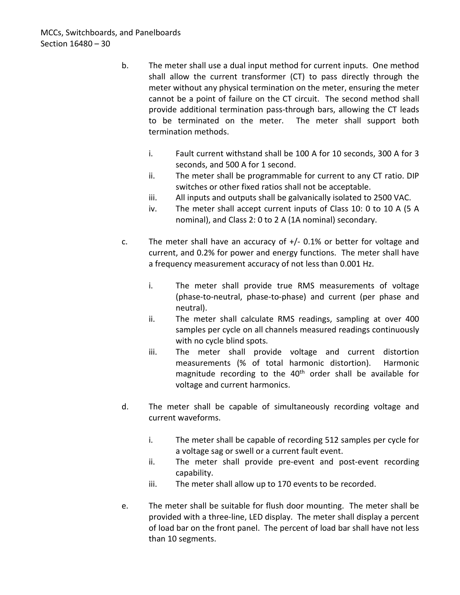- b. The meter shall use a dual input method for current inputs. One method shall allow the current transformer (CT) to pass directly through the meter without any physical termination on the meter, ensuring the meter cannot be a point of failure on the CT circuit. The second method shall provide additional termination pass-through bars, allowing the CT leads to be terminated on the meter. The meter shall support both termination methods.
	- i. Fault current withstand shall be 100 A for 10 seconds, 300 A for 3 seconds, and 500 A for 1 second.
	- ii. The meter shall be programmable for current to any CT ratio. DIP switches or other fixed ratios shall not be acceptable.
	- iii. All inputs and outputs shall be galvanically isolated to 2500 VAC.
	- iv. The meter shall accept current inputs of Class 10: 0 to 10 A (5 A nominal), and Class 2: 0 to 2 A (1A nominal) secondary.
- c. The meter shall have an accuracy of  $+/$  0.1% or better for voltage and current, and 0.2% for power and energy functions. The meter shall have a frequency measurement accuracy of not less than 0.001 Hz.
	- i. The meter shall provide true RMS measurements of voltage (phase-to-neutral, phase-to-phase) and current (per phase and neutral).
	- ii. The meter shall calculate RMS readings, sampling at over 400 samples per cycle on all channels measured readings continuously with no cycle blind spots.
	- iii. The meter shall provide voltage and current distortion measurements (% of total harmonic distortion). Harmonic magnitude recording to the 40<sup>th</sup> order shall be available for voltage and current harmonics.
- d. The meter shall be capable of simultaneously recording voltage and current waveforms.
	- i. The meter shall be capable of recording 512 samples per cycle for a voltage sag or swell or a current fault event.
	- ii. The meter shall provide pre-event and post-event recording capability.
	- iii. The meter shall allow up to 170 events to be recorded.
- e. The meter shall be suitable for flush door mounting. The meter shall be provided with a three-line, LED display. The meter shall display a percent of load bar on the front panel. The percent of load bar shall have not less than 10 segments.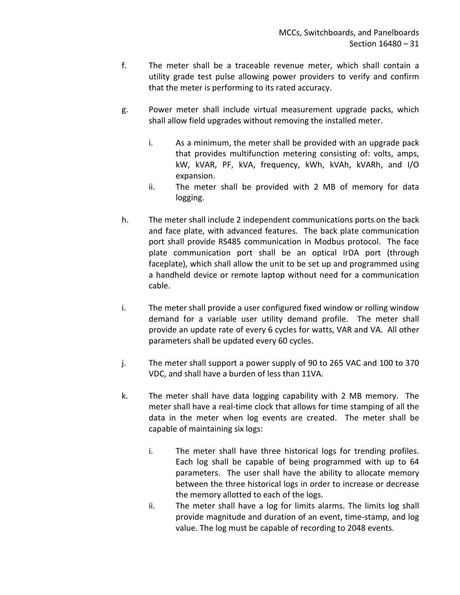- f. The meter shall be a traceable revenue meter, which shall contain a utility grade test pulse allowing power providers to verify and confirm that the meter is performing to its rated accuracy.
- g. Power meter shall include virtual measurement upgrade packs, which shall allow field upgrades without removing the installed meter.
	- i. As a minimum, the meter shall be provided with an upgrade pack that provides multifunction metering consisting of: volts, amps, kW, kVAR, PF, kVA, frequency, kWh, kVAh, kVARh, and I/O expansion.
	- ii. The meter shall be provided with 2 MB of memory for data logging.
- h. The meter shall include 2 independent communications ports on the back and face plate, with advanced features. The back plate communication port shall provide RS485 communication in Modbus protocol. The face plate communication port shall be an optical IrDA port (through faceplate), which shall allow the unit to be set up and programmed using a handheld device or remote laptop without need for a communication cable.
- i. The meter shall provide a user configured fixed window or rolling window demand for a variable user utility demand profile. The meter shall provide an update rate of every 6 cycles for watts, VAR and VA. All other parameters shall be updated every 60 cycles.
- j. The meter shall support a power supply of 90 to 265 VAC and 100 to 370 VDC, and shall have a burden of less than 11VA.
- k. The meter shall have data logging capability with 2 MB memory. The meter shall have a real-time clock that allows for time stamping of all the data in the meter when log events are created. The meter shall be capable of maintaining six logs:
	- i. The meter shall have three historical logs for trending profiles. Each log shall be capable of being programmed with up to 64 parameters. The user shall have the ability to allocate memory between the three historical logs in order to increase or decrease the memory allotted to each of the logs.
	- ii. The meter shall have a log for limits alarms. The limits log shall provide magnitude and duration of an event, time-stamp, and log value. The log must be capable of recording to 2048 events.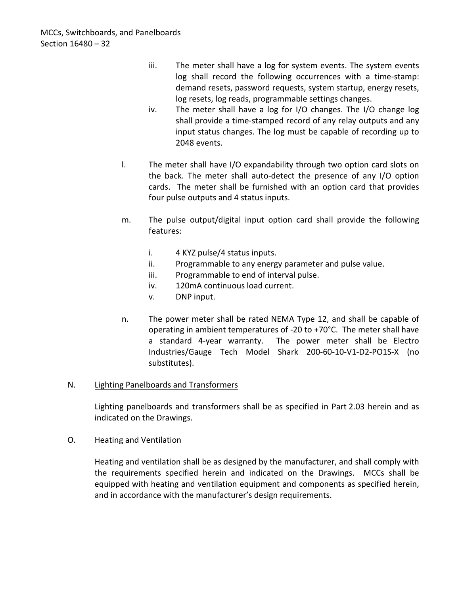- iii. The meter shall have a log for system events. The system events log shall record the following occurrences with a time-stamp: demand resets, password requests, system startup, energy resets, log resets, log reads, programmable settings changes.
- iv. The meter shall have a log for I/O changes. The I/O change log shall provide a time-stamped record of any relay outputs and any input status changes. The log must be capable of recording up to 2048 events.
- l. The meter shall have I/O expandability through two option card slots on the back. The meter shall auto-detect the presence of any I/O option cards. The meter shall be furnished with an option card that provides four pulse outputs and 4 status inputs.
- m. The pulse output/digital input option card shall provide the following features:
	- i. 4 KYZ pulse/4 status inputs.
	- ii. Programmable to any energy parameter and pulse value.
	- iii. Programmable to end of interval pulse.
	- iv. 120mA continuous load current.
	- v. DNP input.
- n. The power meter shall be rated NEMA Type 12, and shall be capable of operating in ambient temperatures of -20 to +70°C. The meter shall have a standard 4-year warranty. The power meter shall be Electro Industries/Gauge Tech Model Shark 200-60-10-V1-D2-PO1S-X (no substitutes).

### N. Lighting Panelboards and Transformers

Lighting panelboards and transformers shall be as specified in Part 2.03 herein and as indicated on the Drawings.

### O. Heating and Ventilation

Heating and ventilation shall be as designed by the manufacturer, and shall comply with the requirements specified herein and indicated on the Drawings. MCCs shall be equipped with heating and ventilation equipment and components as specified herein, and in accordance with the manufacturer's design requirements.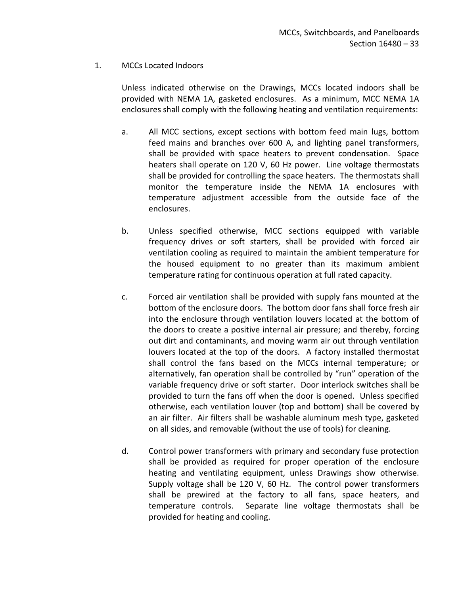### 1. MCCs Located Indoors

Unless indicated otherwise on the Drawings, MCCs located indoors shall be provided with NEMA 1A, gasketed enclosures. As a minimum, MCC NEMA 1A enclosures shall comply with the following heating and ventilation requirements:

- a. All MCC sections, except sections with bottom feed main lugs, bottom feed mains and branches over 600 A, and lighting panel transformers, shall be provided with space heaters to prevent condensation. Space heaters shall operate on 120 V, 60 Hz power. Line voltage thermostats shall be provided for controlling the space heaters. The thermostats shall monitor the temperature inside the NEMA 1A enclosures with temperature adjustment accessible from the outside face of the enclosures.
- b. Unless specified otherwise, MCC sections equipped with variable frequency drives or soft starters, shall be provided with forced air ventilation cooling as required to maintain the ambient temperature for the housed equipment to no greater than its maximum ambient temperature rating for continuous operation at full rated capacity.
- c. Forced air ventilation shall be provided with supply fans mounted at the bottom of the enclosure doors. The bottom door fans shall force fresh air into the enclosure through ventilation louvers located at the bottom of the doors to create a positive internal air pressure; and thereby, forcing out dirt and contaminants, and moving warm air out through ventilation louvers located at the top of the doors. A factory installed thermostat shall control the fans based on the MCCs internal temperature; or alternatively, fan operation shall be controlled by "run" operation of the variable frequency drive or soft starter. Door interlock switches shall be provided to turn the fans off when the door is opened. Unless specified otherwise, each ventilation louver (top and bottom) shall be covered by an air filter. Air filters shall be washable aluminum mesh type, gasketed on all sides, and removable (without the use of tools) for cleaning.
- d. Control power transformers with primary and secondary fuse protection shall be provided as required for proper operation of the enclosure heating and ventilating equipment, unless Drawings show otherwise. Supply voltage shall be 120 V, 60 Hz. The control power transformers shall be prewired at the factory to all fans, space heaters, and temperature controls. Separate line voltage thermostats shall be provided for heating and cooling.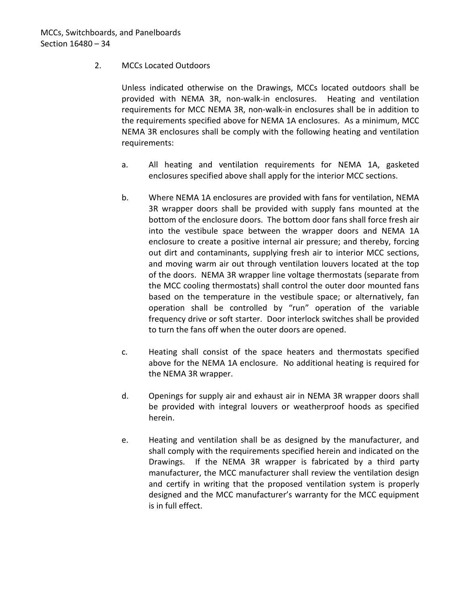## 2. MCCs Located Outdoors

Unless indicated otherwise on the Drawings, MCCs located outdoors shall be provided with NEMA 3R, non-walk-in enclosures. Heating and ventilation requirements for MCC NEMA 3R, non-walk-in enclosures shall be in addition to the requirements specified above for NEMA 1A enclosures. As a minimum, MCC NEMA 3R enclosures shall be comply with the following heating and ventilation requirements:

- a. All heating and ventilation requirements for NEMA 1A, gasketed enclosures specified above shall apply for the interior MCC sections.
- b. Where NEMA 1A enclosures are provided with fans for ventilation, NEMA 3R wrapper doors shall be provided with supply fans mounted at the bottom of the enclosure doors. The bottom door fans shall force fresh air into the vestibule space between the wrapper doors and NEMA 1A enclosure to create a positive internal air pressure; and thereby, forcing out dirt and contaminants, supplying fresh air to interior MCC sections, and moving warm air out through ventilation louvers located at the top of the doors. NEMA 3R wrapper line voltage thermostats (separate from the MCC cooling thermostats) shall control the outer door mounted fans based on the temperature in the vestibule space; or alternatively, fan operation shall be controlled by "run" operation of the variable frequency drive or soft starter. Door interlock switches shall be provided to turn the fans off when the outer doors are opened.
- c. Heating shall consist of the space heaters and thermostats specified above for the NEMA 1A enclosure. No additional heating is required for the NEMA 3R wrapper.
- d. Openings for supply air and exhaust air in NEMA 3R wrapper doors shall be provided with integral louvers or weatherproof hoods as specified herein.
- e. Heating and ventilation shall be as designed by the manufacturer, and shall comply with the requirements specified herein and indicated on the Drawings. If the NEMA 3R wrapper is fabricated by a third party manufacturer, the MCC manufacturer shall review the ventilation design and certify in writing that the proposed ventilation system is properly designed and the MCC manufacturer's warranty for the MCC equipment is in full effect.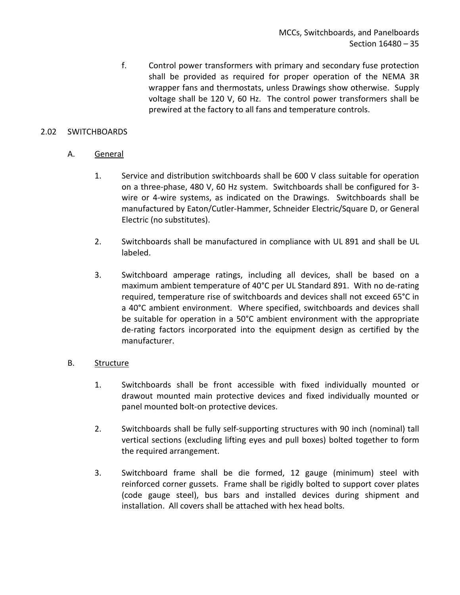f. Control power transformers with primary and secondary fuse protection shall be provided as required for proper operation of the NEMA 3R wrapper fans and thermostats, unless Drawings show otherwise. Supply voltage shall be 120 V, 60 Hz. The control power transformers shall be prewired at the factory to all fans and temperature controls.

### <span id="page-36-0"></span>2.02 SWITCHBOARDS

### A. General

- 1. Service and distribution switchboards shall be 600 V class suitable for operation on a three-phase, 480 V, 60 Hz system. Switchboards shall be configured for 3 wire or 4-wire systems, as indicated on the Drawings. Switchboards shall be manufactured by Eaton/Cutler-Hammer, Schneider Electric/Square D, or General Electric (no substitutes).
- 2. Switchboards shall be manufactured in compliance with UL 891 and shall be UL labeled.
- 3. Switchboard amperage ratings, including all devices, shall be based on a maximum ambient temperature of 40°C per UL Standard 891. With no de-rating required, temperature rise of switchboards and devices shall not exceed 65°C in a 40°C ambient environment. Where specified, switchboards and devices shall be suitable for operation in a 50°C ambient environment with the appropriate de-rating factors incorporated into the equipment design as certified by the manufacturer.

### B. Structure

- 1. Switchboards shall be front accessible with fixed individually mounted or drawout mounted main protective devices and fixed individually mounted or panel mounted bolt-on protective devices.
- 2. Switchboards shall be fully self-supporting structures with 90 inch (nominal) tall vertical sections (excluding lifting eyes and pull boxes) bolted together to form the required arrangement.
- 3. Switchboard frame shall be die formed, 12 gauge (minimum) steel with reinforced corner gussets. Frame shall be rigidly bolted to support cover plates (code gauge steel), bus bars and installed devices during shipment and installation. All covers shall be attached with hex head bolts.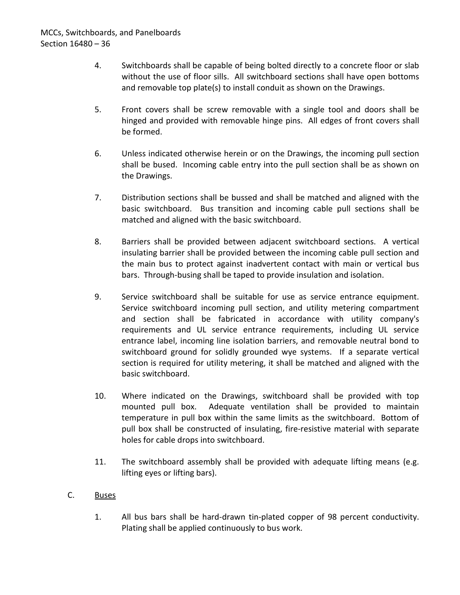- 4. Switchboards shall be capable of being bolted directly to a concrete floor or slab without the use of floor sills. All switchboard sections shall have open bottoms and removable top plate(s) to install conduit as shown on the Drawings.
- 5. Front covers shall be screw removable with a single tool and doors shall be hinged and provided with removable hinge pins. All edges of front covers shall be formed.
- 6. Unless indicated otherwise herein or on the Drawings, the incoming pull section shall be bused. Incoming cable entry into the pull section shall be as shown on the Drawings.
- 7. Distribution sections shall be bussed and shall be matched and aligned with the basic switchboard. Bus transition and incoming cable pull sections shall be matched and aligned with the basic switchboard.
- 8. Barriers shall be provided between adjacent switchboard sections. A vertical insulating barrier shall be provided between the incoming cable pull section and the main bus to protect against inadvertent contact with main or vertical bus bars. Through-busing shall be taped to provide insulation and isolation.
- 9. Service switchboard shall be suitable for use as service entrance equipment. Service switchboard incoming pull section, and utility metering compartment and section shall be fabricated in accordance with utility company's requirements and UL service entrance requirements, including UL service entrance label, incoming line isolation barriers, and removable neutral bond to switchboard ground for solidly grounded wye systems. If a separate vertical section is required for utility metering, it shall be matched and aligned with the basic switchboard.
- 10. Where indicated on the Drawings, switchboard shall be provided with top mounted pull box. Adequate ventilation shall be provided to maintain temperature in pull box within the same limits as the switchboard. Bottom of pull box shall be constructed of insulating, fire-resistive material with separate holes for cable drops into switchboard.
- 11. The switchboard assembly shall be provided with adequate lifting means (e.g. lifting eyes or lifting bars).
- C. Buses
	- 1. All bus bars shall be hard-drawn tin-plated copper of 98 percent conductivity. Plating shall be applied continuously to bus work.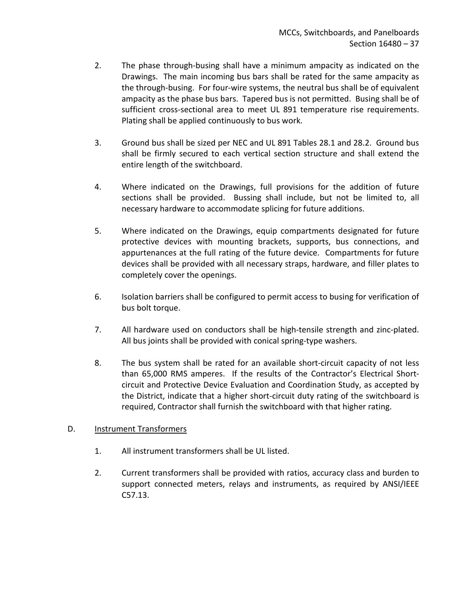- 2. The phase through-busing shall have a minimum ampacity as indicated on the Drawings. The main incoming bus bars shall be rated for the same ampacity as the through-busing. For four-wire systems, the neutral bus shall be of equivalent ampacity as the phase bus bars. Tapered bus is not permitted. Busing shall be of sufficient cross-sectional area to meet UL 891 temperature rise requirements. Plating shall be applied continuously to bus work.
- 3. Ground bus shall be sized per NEC and UL 891 Tables 28.1 and 28.2. Ground bus shall be firmly secured to each vertical section structure and shall extend the entire length of the switchboard.
- 4. Where indicated on the Drawings, full provisions for the addition of future sections shall be provided. Bussing shall include, but not be limited to, all necessary hardware to accommodate splicing for future additions.
- 5. Where indicated on the Drawings, equip compartments designated for future protective devices with mounting brackets, supports, bus connections, and appurtenances at the full rating of the future device. Compartments for future devices shall be provided with all necessary straps, hardware, and filler plates to completely cover the openings.
- 6. Isolation barriers shall be configured to permit access to busing for verification of bus bolt torque.
- 7. All hardware used on conductors shall be high-tensile strength and zinc-plated. All bus joints shall be provided with conical spring-type washers.
- 8. The bus system shall be rated for an available short-circuit capacity of not less than 65,000 RMS amperes. If the results of the Contractor's Electrical Shortcircuit and Protective Device Evaluation and Coordination Study, as accepted by the District, indicate that a higher short-circuit duty rating of the switchboard is required, Contractor shall furnish the switchboard with that higher rating.

### D. Instrument Transformers

- 1. All instrument transformers shall be UL listed.
- 2. Current transformers shall be provided with ratios, accuracy class and burden to support connected meters, relays and instruments, as required by ANSI/IEEE C57.13.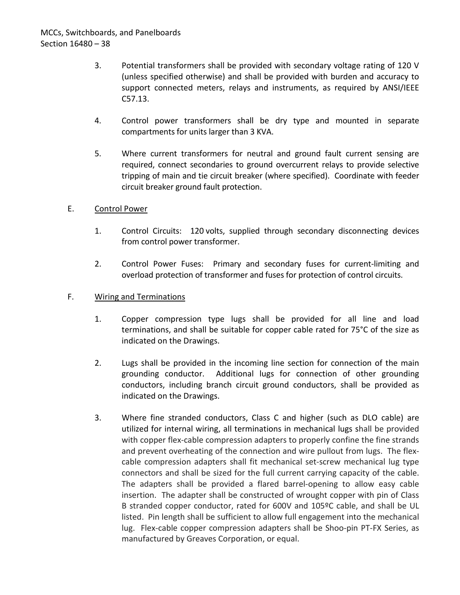- 3. Potential transformers shall be provided with secondary voltage rating of 120 V (unless specified otherwise) and shall be provided with burden and accuracy to support connected meters, relays and instruments, as required by ANSI/IEEE C57.13.
- 4. Control power transformers shall be dry type and mounted in separate compartments for units larger than 3 KVA.
- 5. Where current transformers for neutral and ground fault current sensing are required, connect secondaries to ground overcurrent relays to provide selective tripping of main and tie circuit breaker (where specified). Coordinate with feeder circuit breaker ground fault protection.

### E. Control Power

- 1. Control Circuits: 120 volts, supplied through secondary disconnecting devices from control power transformer.
- 2. Control Power Fuses: Primary and secondary fuses for current-limiting and overload protection of transformer and fuses for protection of control circuits.

### F. Wiring and Terminations

- 1. Copper compression type lugs shall be provided for all line and load terminations, and shall be suitable for copper cable rated for 75°C of the size as indicated on the Drawings.
- 2. Lugs shall be provided in the incoming line section for connection of the main grounding conductor. Additional lugs for connection of other grounding conductors, including branch circuit ground conductors, shall be provided as indicated on the Drawings.
- 3. Where fine stranded conductors, Class C and higher (such as DLO cable) are utilized for internal wiring, all terminations in mechanical lugs shall be provided with copper flex-cable compression adapters to properly confine the fine strands and prevent overheating of the connection and wire pullout from lugs. The flexcable compression adapters shall fit mechanical set-screw mechanical lug type connectors and shall be sized for the full current carrying capacity of the cable. The adapters shall be provided a flared barrel-opening to allow easy cable insertion. The adapter shall be constructed of wrought copper with pin of Class B stranded copper conductor, rated for 600V and 105ºC cable, and shall be UL listed. Pin length shall be sufficient to allow full engagement into the mechanical lug. Flex-cable copper compression adapters shall be Shoo-pin PT-FX Series, as manufactured by Greaves Corporation, or equal.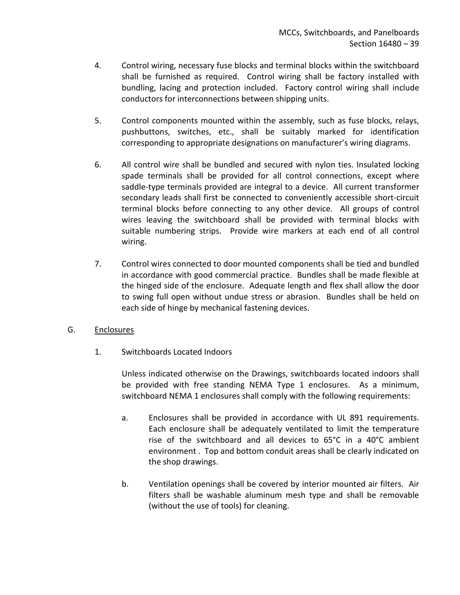- 4. Control wiring, necessary fuse blocks and terminal blocks within the switchboard shall be furnished as required. Control wiring shall be factory installed with bundling, lacing and protection included. Factory control wiring shall include conductors for interconnections between shipping units.
- 5. Control components mounted within the assembly, such as fuse blocks, relays, pushbuttons, switches, etc., shall be suitably marked for identification corresponding to appropriate designations on manufacturer's wiring diagrams.
- 6. All control wire shall be bundled and secured with nylon ties. Insulated locking spade terminals shall be provided for all control connections, except where saddle-type terminals provided are integral to a device. All current transformer secondary leads shall first be connected to conveniently accessible short-circuit terminal blocks before connecting to any other device. All groups of control wires leaving the switchboard shall be provided with terminal blocks with suitable numbering strips. Provide wire markers at each end of all control wiring.
- 7. Control wires connected to door mounted components shall be tied and bundled in accordance with good commercial practice. Bundles shall be made flexible at the hinged side of the enclosure. Adequate length and flex shall allow the door to swing full open without undue stress or abrasion. Bundles shall be held on each side of hinge by mechanical fastening devices.
- G. Enclosures
	- 1. Switchboards Located Indoors

Unless indicated otherwise on the Drawings, switchboards located indoors shall be provided with free standing NEMA Type 1 enclosures. As a minimum, switchboard NEMA 1 enclosures shall comply with the following requirements:

- a. Enclosures shall be provided in accordance with UL 891 requirements. Each enclosure shall be adequately ventilated to limit the temperature rise of the switchboard and all devices to 65°C in a 40°C ambient environment . Top and bottom conduit areas shall be clearly indicated on the shop drawings.
- b. Ventilation openings shall be covered by interior mounted air filters. Air filters shall be washable aluminum mesh type and shall be removable (without the use of tools) for cleaning.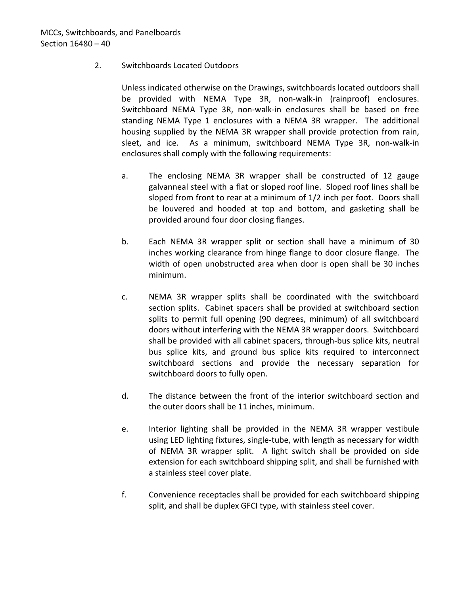### 2. Switchboards Located Outdoors

Unless indicated otherwise on the Drawings, switchboards located outdoors shall be provided with NEMA Type 3R, non-walk-in (rainproof) enclosures. Switchboard NEMA Type 3R, non-walk-in enclosures shall be based on free standing NEMA Type 1 enclosures with a NEMA 3R wrapper. The additional housing supplied by the NEMA 3R wrapper shall provide protection from rain, sleet, and ice. As a minimum, switchboard NEMA Type 3R, non-walk-in enclosures shall comply with the following requirements:

- a. The enclosing NEMA 3R wrapper shall be constructed of 12 gauge galvanneal steel with a flat or sloped roof line. Sloped roof lines shall be sloped from front to rear at a minimum of 1/2 inch per foot. Doors shall be louvered and hooded at top and bottom, and gasketing shall be provided around four door closing flanges.
- b. Each NEMA 3R wrapper split or section shall have a minimum of 30 inches working clearance from hinge flange to door closure flange. The width of open unobstructed area when door is open shall be 30 inches minimum.
- c. NEMA 3R wrapper splits shall be coordinated with the switchboard section splits. Cabinet spacers shall be provided at switchboard section splits to permit full opening (90 degrees, minimum) of all switchboard doors without interfering with the NEMA 3R wrapper doors. Switchboard shall be provided with all cabinet spacers, through-bus splice kits, neutral bus splice kits, and ground bus splice kits required to interconnect switchboard sections and provide the necessary separation for switchboard doors to fully open.
- d. The distance between the front of the interior switchboard section and the outer doors shall be 11 inches, minimum.
- e. Interior lighting shall be provided in the NEMA 3R wrapper vestibule using LED lighting fixtures, single-tube, with length as necessary for width of NEMA 3R wrapper split. A light switch shall be provided on side extension for each switchboard shipping split, and shall be furnished with a stainless steel cover plate.
- f. Convenience receptacles shall be provided for each switchboard shipping split, and shall be duplex GFCI type, with stainless steel cover.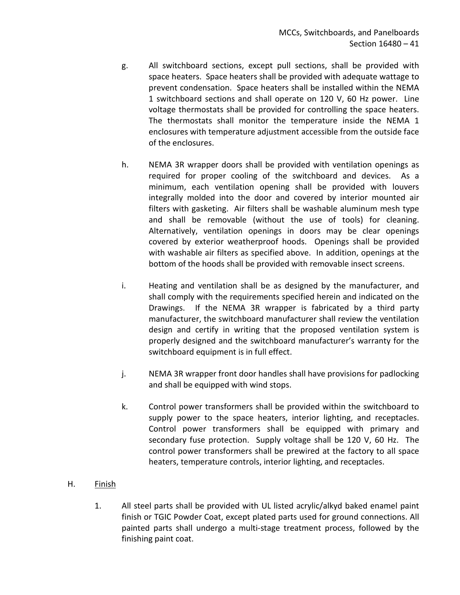- g. All switchboard sections, except pull sections, shall be provided with space heaters. Space heaters shall be provided with adequate wattage to prevent condensation. Space heaters shall be installed within the NEMA 1 switchboard sections and shall operate on 120 V, 60 Hz power. Line voltage thermostats shall be provided for controlling the space heaters. The thermostats shall monitor the temperature inside the NEMA 1 enclosures with temperature adjustment accessible from the outside face of the enclosures.
- h. NEMA 3R wrapper doors shall be provided with ventilation openings as required for proper cooling of the switchboard and devices. As a minimum, each ventilation opening shall be provided with louvers integrally molded into the door and covered by interior mounted air filters with gasketing. Air filters shall be washable aluminum mesh type and shall be removable (without the use of tools) for cleaning. Alternatively, ventilation openings in doors may be clear openings covered by exterior weatherproof hoods. Openings shall be provided with washable air filters as specified above. In addition, openings at the bottom of the hoods shall be provided with removable insect screens.
- i. Heating and ventilation shall be as designed by the manufacturer, and shall comply with the requirements specified herein and indicated on the Drawings. If the NEMA 3R wrapper is fabricated by a third party manufacturer, the switchboard manufacturer shall review the ventilation design and certify in writing that the proposed ventilation system is properly designed and the switchboard manufacturer's warranty for the switchboard equipment is in full effect.
- j. NEMA 3R wrapper front door handles shall have provisions for padlocking and shall be equipped with wind stops.
- k. Control power transformers shall be provided within the switchboard to supply power to the space heaters, interior lighting, and receptacles. Control power transformers shall be equipped with primary and secondary fuse protection. Supply voltage shall be 120 V, 60 Hz. The control power transformers shall be prewired at the factory to all space heaters, temperature controls, interior lighting, and receptacles.

## H. Finish

1. All steel parts shall be provided with UL listed acrylic/alkyd baked enamel paint finish or TGIC Powder Coat, except plated parts used for ground connections. All painted parts shall undergo a multi-stage treatment process, followed by the finishing paint coat.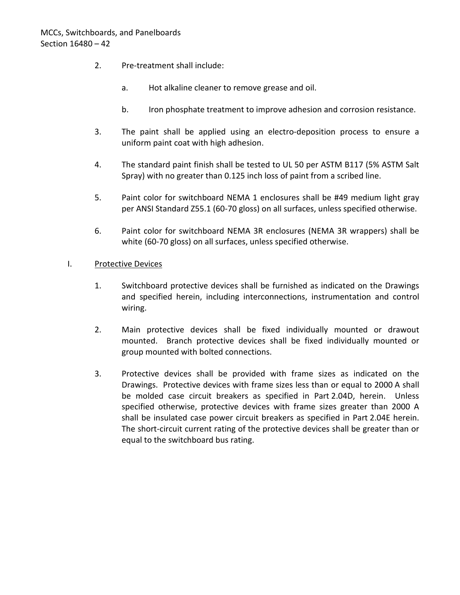- 2. Pre-treatment shall include:
	- a. Hot alkaline cleaner to remove grease and oil.
	- b. Iron phosphate treatment to improve adhesion and corrosion resistance.
- 3. The paint shall be applied using an electro-deposition process to ensure a uniform paint coat with high adhesion.
- 4. The standard paint finish shall be tested to UL 50 per ASTM B117 (5% ASTM Salt Spray) with no greater than 0.125 inch loss of paint from a scribed line.
- 5. Paint color for switchboard NEMA 1 enclosures shall be #49 medium light gray per ANSI Standard Z55.1 (60-70 gloss) on all surfaces, unless specified otherwise.
- 6. Paint color for switchboard NEMA 3R enclosures (NEMA 3R wrappers) shall be white (60-70 gloss) on all surfaces, unless specified otherwise.

### I. Protective Devices

- 1. Switchboard protective devices shall be furnished as indicated on the Drawings and specified herein, including interconnections, instrumentation and control wiring.
- 2. Main protective devices shall be fixed individually mounted or drawout mounted. Branch protective devices shall be fixed individually mounted or group mounted with bolted connections.
- 3. Protective devices shall be provided with frame sizes as indicated on the Drawings. Protective devices with frame sizes less than or equal to 2000 A shall be molded case circuit breakers as specified in Part 2.04D, herein. Unless specified otherwise, protective devices with frame sizes greater than 2000 A shall be insulated case power circuit breakers as specified in Part 2.04E herein. The short-circuit current rating of the protective devices shall be greater than or equal to the switchboard bus rating.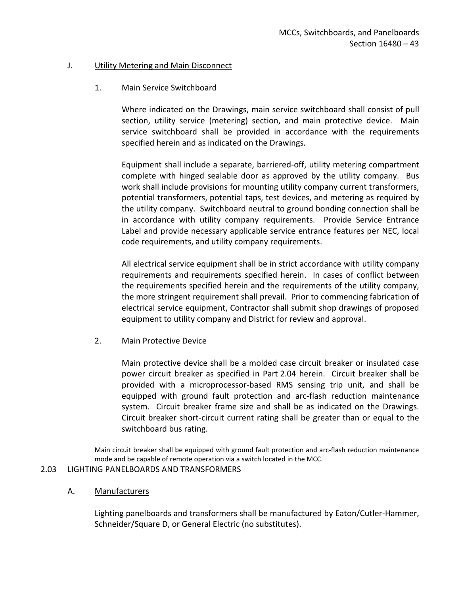#### J. **Utility Metering and Main Disconnect**

### 1. Main Service Switchboard

Where indicated on the Drawings, main service switchboard shall consist of pull section, utility service (metering) section, and main protective device. Main service switchboard shall be provided in accordance with the requirements specified herein and as indicated on the Drawings.

Equipment shall include a separate, barriered-off, utility metering compartment complete with hinged sealable door as approved by the utility company. Bus work shall include provisions for mounting utility company current transformers, potential transformers, potential taps, test devices, and metering as required by the utility company. Switchboard neutral to ground bonding connection shall be in accordance with utility company requirements. Provide Service Entrance Label and provide necessary applicable service entrance features per NEC, local code requirements, and utility company requirements.

All electrical service equipment shall be in strict accordance with utility company requirements and requirements specified herein. In cases of conflict between the requirements specified herein and the requirements of the utility company, the more stringent requirement shall prevail. Prior to commencing fabrication of electrical service equipment, Contractor shall submit shop drawings of proposed equipment to utility company and District for review and approval.

2. Main Protective Device

Main protective device shall be a molded case circuit breaker or insulated case power circuit breaker as specified in Part 2.04 herein. Circuit breaker shall be provided with a microprocessor-based RMS sensing trip unit, and shall be equipped with ground fault protection and arc-flash reduction maintenance system. Circuit breaker frame size and shall be as indicated on the Drawings. Circuit breaker short-circuit current rating shall be greater than or equal to the switchboard bus rating.

Main circuit breaker shall be equipped with ground fault protection and arc-flash reduction maintenance mode and be capable of remote operation via a switch located in the MCC.

### <span id="page-44-0"></span>2.03 LIGHTING PANELBOARDS AND TRANSFORMERS

### A. Manufacturers

Lighting panelboards and transformers shall be manufactured by Eaton/Cutler-Hammer, Schneider/Square D, or General Electric (no substitutes).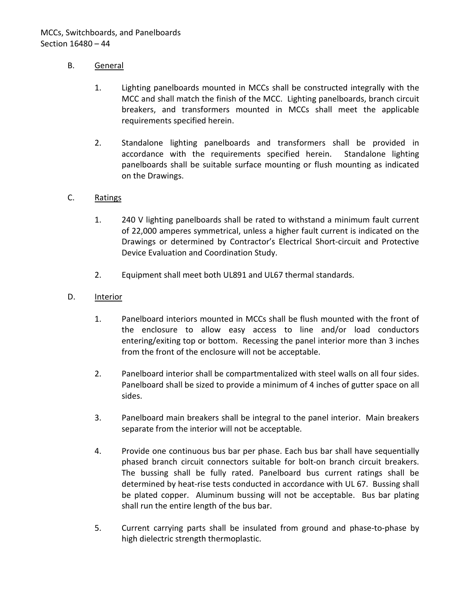## B. General

- 1. Lighting panelboards mounted in MCCs shall be constructed integrally with the MCC and shall match the finish of the MCC. Lighting panelboards, branch circuit breakers, and transformers mounted in MCCs shall meet the applicable requirements specified herein.
- 2. Standalone lighting panelboards and transformers shall be provided in accordance with the requirements specified herein. Standalone lighting panelboards shall be suitable surface mounting or flush mounting as indicated on the Drawings.

### C. Ratings

- 1. 240 V lighting panelboards shall be rated to withstand a minimum fault current of 22,000 amperes symmetrical, unless a higher fault current is indicated on the Drawings or determined by Contractor's Electrical Short-circuit and Protective Device Evaluation and Coordination Study.
- 2. Equipment shall meet both UL891 and UL67 thermal standards.
- D. Interior
	- 1. Panelboard interiors mounted in MCCs shall be flush mounted with the front of the enclosure to allow easy access to line and/or load conductors entering/exiting top or bottom. Recessing the panel interior more than 3 inches from the front of the enclosure will not be acceptable.
	- 2. Panelboard interior shall be compartmentalized with steel walls on all four sides. Panelboard shall be sized to provide a minimum of 4 inches of gutter space on all sides.
	- 3. Panelboard main breakers shall be integral to the panel interior. Main breakers separate from the interior will not be acceptable.
	- 4. Provide one continuous bus bar per phase. Each bus bar shall have sequentially phased branch circuit connectors suitable for bolt-on branch circuit breakers. The bussing shall be fully rated. Panelboard bus current ratings shall be determined by heat-rise tests conducted in accordance with UL 67. Bussing shall be plated copper. Aluminum bussing will not be acceptable. Bus bar plating shall run the entire length of the bus bar.
	- 5. Current carrying parts shall be insulated from ground and phase-to-phase by high dielectric strength thermoplastic.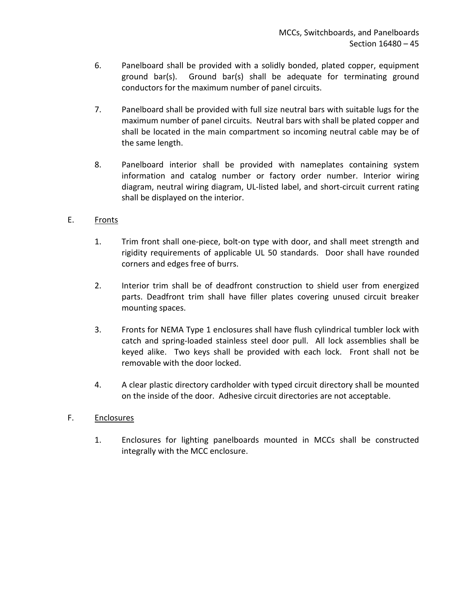- 6. Panelboard shall be provided with a solidly bonded, plated copper, equipment ground bar(s). Ground bar(s) shall be adequate for terminating ground conductors for the maximum number of panel circuits.
- 7. Panelboard shall be provided with full size neutral bars with suitable lugs for the maximum number of panel circuits. Neutral bars with shall be plated copper and shall be located in the main compartment so incoming neutral cable may be of the same length.
- 8. Panelboard interior shall be provided with nameplates containing system information and catalog number or factory order number. Interior wiring diagram, neutral wiring diagram, UL-listed label, and short-circuit current rating shall be displayed on the interior.

# E. Fronts

- 1. Trim front shall one-piece, bolt-on type with door, and shall meet strength and rigidity requirements of applicable UL 50 standards. Door shall have rounded corners and edges free of burrs.
- 2. Interior trim shall be of deadfront construction to shield user from energized parts. Deadfront trim shall have filler plates covering unused circuit breaker mounting spaces.
- 3. Fronts for NEMA Type 1 enclosures shall have flush cylindrical tumbler lock with catch and spring-loaded stainless steel door pull. All lock assemblies shall be keyed alike. Two keys shall be provided with each lock. Front shall not be removable with the door locked.
- 4. A clear plastic directory cardholder with typed circuit directory shall be mounted on the inside of the door. Adhesive circuit directories are not acceptable.

## F. Enclosures

1. Enclosures for lighting panelboards mounted in MCCs shall be constructed integrally with the MCC enclosure.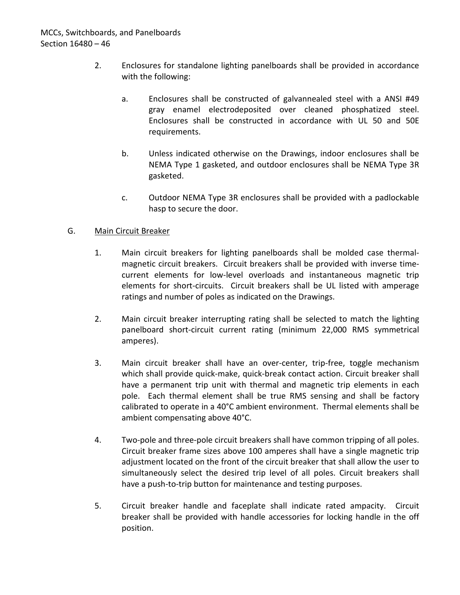- 2. Enclosures for standalone lighting panelboards shall be provided in accordance with the following:
	- a. Enclosures shall be constructed of galvannealed steel with a ANSI #49 gray enamel electrodeposited over cleaned phosphatized steel. Enclosures shall be constructed in accordance with UL 50 and 50E requirements.
	- b. Unless indicated otherwise on the Drawings, indoor enclosures shall be NEMA Type 1 gasketed, and outdoor enclosures shall be NEMA Type 3R gasketed.
	- c. Outdoor NEMA Type 3R enclosures shall be provided with a padlockable hasp to secure the door.

## G. Main Circuit Breaker

- 1. Main circuit breakers for lighting panelboards shall be molded case thermalmagnetic circuit breakers. Circuit breakers shall be provided with inverse timecurrent elements for low-level overloads and instantaneous magnetic trip elements for short-circuits. Circuit breakers shall be UL listed with amperage ratings and number of poles as indicated on the Drawings.
- 2. Main circuit breaker interrupting rating shall be selected to match the lighting panelboard short-circuit current rating (minimum 22,000 RMS symmetrical amperes).
- 3. Main circuit breaker shall have an over-center, trip-free, toggle mechanism which shall provide quick-make, quick-break contact action. Circuit breaker shall have a permanent trip unit with thermal and magnetic trip elements in each pole. Each thermal element shall be true RMS sensing and shall be factory calibrated to operate in a 40°C ambient environment. Thermal elements shall be ambient compensating above 40°C.
- 4. Two-pole and three-pole circuit breakers shall have common tripping of all poles. Circuit breaker frame sizes above 100 amperes shall have a single magnetic trip adjustment located on the front of the circuit breaker that shall allow the user to simultaneously select the desired trip level of all poles. Circuit breakers shall have a push-to-trip button for maintenance and testing purposes.
- 5. Circuit breaker handle and faceplate shall indicate rated ampacity. Circuit breaker shall be provided with handle accessories for locking handle in the off position.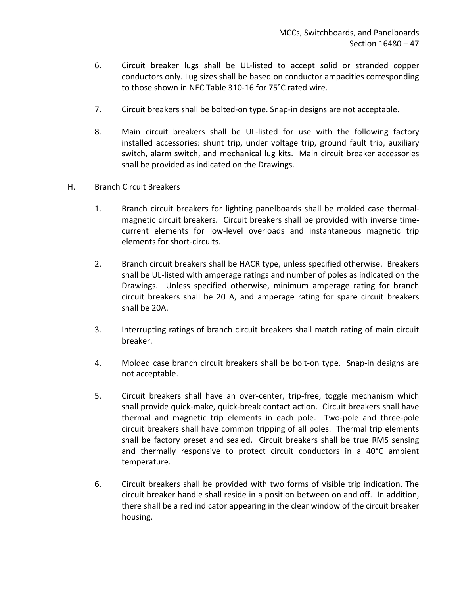- 6. Circuit breaker lugs shall be UL-listed to accept solid or stranded copper conductors only. Lug sizes shall be based on conductor ampacities corresponding to those shown in NEC Table 310-16 for 75°C rated wire.
- 7. Circuit breakers shall be bolted-on type. Snap-in designs are not acceptable.
- 8. Main circuit breakers shall be UL-listed for use with the following factory installed accessories: shunt trip, under voltage trip, ground fault trip, auxiliary switch, alarm switch, and mechanical lug kits. Main circuit breaker accessories shall be provided as indicated on the Drawings.

### H. Branch Circuit Breakers

- 1. Branch circuit breakers for lighting panelboards shall be molded case thermalmagnetic circuit breakers. Circuit breakers shall be provided with inverse timecurrent elements for low-level overloads and instantaneous magnetic trip elements for short-circuits.
- 2. Branch circuit breakers shall be HACR type, unless specified otherwise. Breakers shall be UL-listed with amperage ratings and number of poles as indicated on the Drawings. Unless specified otherwise, minimum amperage rating for branch circuit breakers shall be 20 A, and amperage rating for spare circuit breakers shall be 20A.
- 3. Interrupting ratings of branch circuit breakers shall match rating of main circuit breaker.
- 4. Molded case branch circuit breakers shall be bolt-on type. Snap-in designs are not acceptable.
- 5. Circuit breakers shall have an over-center, trip-free, toggle mechanism which shall provide quick-make, quick-break contact action. Circuit breakers shall have thermal and magnetic trip elements in each pole. Two-pole and three-pole circuit breakers shall have common tripping of all poles. Thermal trip elements shall be factory preset and sealed. Circuit breakers shall be true RMS sensing and thermally responsive to protect circuit conductors in a 40°C ambient temperature.
- 6. Circuit breakers shall be provided with two forms of visible trip indication. The circuit breaker handle shall reside in a position between on and off. In addition, there shall be a red indicator appearing in the clear window of the circuit breaker housing.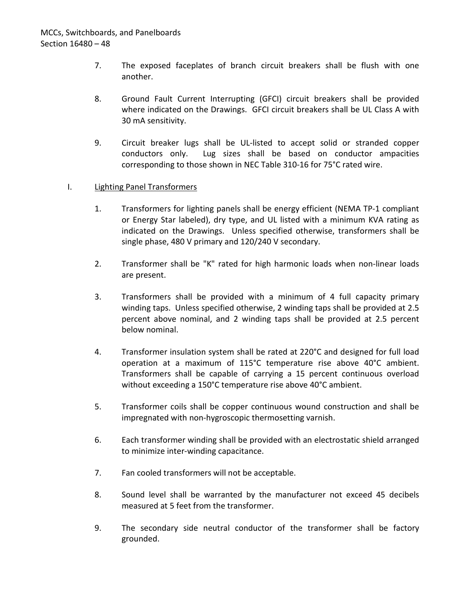- 7. The exposed faceplates of branch circuit breakers shall be flush with one another.
- 8. Ground Fault Current Interrupting (GFCI) circuit breakers shall be provided where indicated on the Drawings. GFCI circuit breakers shall be UL Class A with 30 mA sensitivity.
- 9. Circuit breaker lugs shall be UL-listed to accept solid or stranded copper conductors only. Lug sizes shall be based on conductor ampacities corresponding to those shown in NEC Table 310-16 for 75°C rated wire.

### I. Lighting Panel Transformers

- 1. Transformers for lighting panels shall be energy efficient (NEMA TP-1 compliant or Energy Star labeled), dry type, and UL listed with a minimum KVA rating as indicated on the Drawings. Unless specified otherwise, transformers shall be single phase, 480 V primary and 120/240 V secondary.
- 2. Transformer shall be "K" rated for high harmonic loads when non-linear loads are present.
- 3. Transformers shall be provided with a minimum of 4 full capacity primary winding taps. Unless specified otherwise, 2 winding taps shall be provided at 2.5 percent above nominal, and 2 winding taps shall be provided at 2.5 percent below nominal.
- 4. Transformer insulation system shall be rated at 220°C and designed for full load operation at a maximum of 115°C temperature rise above 40°C ambient. Transformers shall be capable of carrying a 15 percent continuous overload without exceeding a 150°C temperature rise above 40°C ambient.
- 5. Transformer coils shall be copper continuous wound construction and shall be impregnated with non-hygroscopic thermosetting varnish.
- 6. Each transformer winding shall be provided with an electrostatic shield arranged to minimize inter-winding capacitance.
- 7. Fan cooled transformers will not be acceptable.
- 8. Sound level shall be warranted by the manufacturer not exceed 45 decibels measured at 5 feet from the transformer.
- 9. The secondary side neutral conductor of the transformer shall be factory grounded.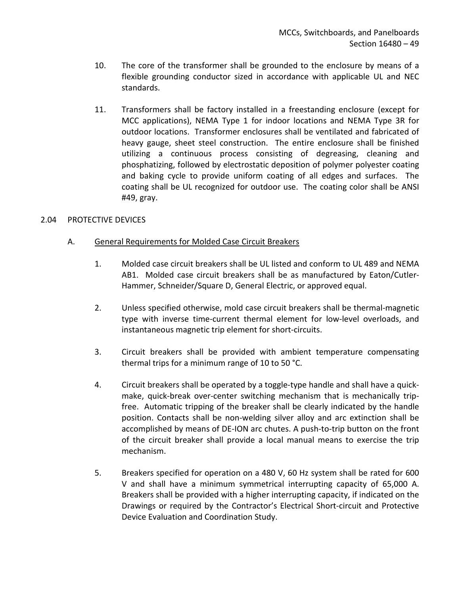- 10. The core of the transformer shall be grounded to the enclosure by means of a flexible grounding conductor sized in accordance with applicable UL and NEC standards.
- 11. Transformers shall be factory installed in a freestanding enclosure (except for MCC applications), NEMA Type 1 for indoor locations and NEMA Type 3R for outdoor locations. Transformer enclosures shall be ventilated and fabricated of heavy gauge, sheet steel construction. The entire enclosure shall be finished utilizing a continuous process consisting of degreasing, cleaning and phosphatizing, followed by electrostatic deposition of polymer polyester coating and baking cycle to provide uniform coating of all edges and surfaces. The coating shall be UL recognized for outdoor use. The coating color shall be ANSI #49, gray.

### <span id="page-50-0"></span>2.04 PROTECTIVE DEVICES

## A. General Requirements for Molded Case Circuit Breakers

- 1. Molded case circuit breakers shall be UL listed and conform to UL 489 and NEMA AB1. Molded case circuit breakers shall be as manufactured by Eaton/Cutler-Hammer, Schneider/Square D, General Electric, or approved equal.
- 2. Unless specified otherwise, mold case circuit breakers shall be thermal-magnetic type with inverse time-current thermal element for low-level overloads, and instantaneous magnetic trip element for short-circuits.
- 3. Circuit breakers shall be provided with ambient temperature compensating thermal trips for a minimum range of 10 to 50 °C.
- 4. Circuit breakers shall be operated by a toggle-type handle and shall have a quickmake, quick-break over-center switching mechanism that is mechanically tripfree. Automatic tripping of the breaker shall be clearly indicated by the handle position. Contacts shall be non-welding silver alloy and arc extinction shall be accomplished by means of DE-ION arc chutes. A push-to-trip button on the front of the circuit breaker shall provide a local manual means to exercise the trip mechanism.
- 5. Breakers specified for operation on a 480 V, 60 Hz system shall be rated for 600 V and shall have a minimum symmetrical interrupting capacity of 65,000 A. Breakers shall be provided with a higher interrupting capacity, if indicated on the Drawings or required by the Contractor's Electrical Short-circuit and Protective Device Evaluation and Coordination Study.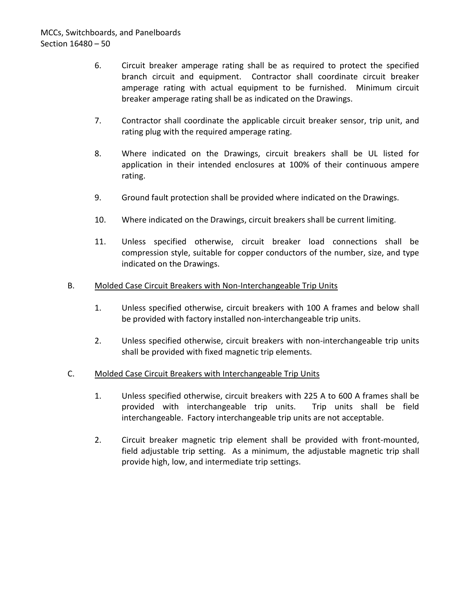- 6. Circuit breaker amperage rating shall be as required to protect the specified branch circuit and equipment. Contractor shall coordinate circuit breaker amperage rating with actual equipment to be furnished. Minimum circuit breaker amperage rating shall be as indicated on the Drawings.
- 7. Contractor shall coordinate the applicable circuit breaker sensor, trip unit, and rating plug with the required amperage rating.
- 8. Where indicated on the Drawings, circuit breakers shall be UL listed for application in their intended enclosures at 100% of their continuous ampere rating.
- 9. Ground fault protection shall be provided where indicated on the Drawings.
- 10. Where indicated on the Drawings, circuit breakers shall be current limiting.
- 11. Unless specified otherwise, circuit breaker load connections shall be compression style, suitable for copper conductors of the number, size, and type indicated on the Drawings.
- B. Molded Case Circuit Breakers with Non-Interchangeable Trip Units
	- 1. Unless specified otherwise, circuit breakers with 100 A frames and below shall be provided with factory installed non-interchangeable trip units.
	- 2. Unless specified otherwise, circuit breakers with non-interchangeable trip units shall be provided with fixed magnetic trip elements.
- C. Molded Case Circuit Breakers with Interchangeable Trip Units
	- 1. Unless specified otherwise, circuit breakers with 225 A to 600 A frames shall be provided with interchangeable trip units. Trip units shall be field interchangeable. Factory interchangeable trip units are not acceptable.
	- 2. Circuit breaker magnetic trip element shall be provided with front-mounted, field adjustable trip setting. As a minimum, the adjustable magnetic trip shall provide high, low, and intermediate trip settings.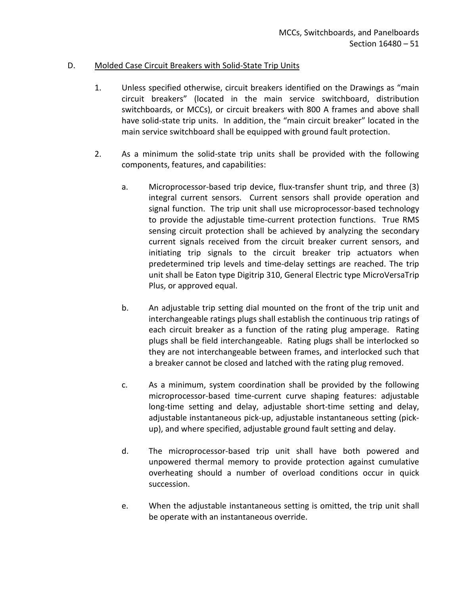### D. Molded Case Circuit Breakers with Solid-State Trip Units

- 1. Unless specified otherwise, circuit breakers identified on the Drawings as "main circuit breakers" (located in the main service switchboard, distribution switchboards, or MCCs), or circuit breakers with 800 A frames and above shall have solid-state trip units. In addition, the "main circuit breaker" located in the main service switchboard shall be equipped with ground fault protection.
- 2. As a minimum the solid-state trip units shall be provided with the following components, features, and capabilities:
	- a. Microprocessor-based trip device, flux-transfer shunt trip, and three (3) integral current sensors. Current sensors shall provide operation and signal function. The trip unit shall use microprocessor-based technology to provide the adjustable time-current protection functions. True RMS sensing circuit protection shall be achieved by analyzing the secondary current signals received from the circuit breaker current sensors, and initiating trip signals to the circuit breaker trip actuators when predetermined trip levels and time-delay settings are reached. The trip unit shall be Eaton type Digitrip 310, General Electric type MicroVersaTrip Plus, or approved equal.
	- b. An adjustable trip setting dial mounted on the front of the trip unit and interchangeable ratings plugs shall establish the continuous trip ratings of each circuit breaker as a function of the rating plug amperage. Rating plugs shall be field interchangeable. Rating plugs shall be interlocked so they are not interchangeable between frames, and interlocked such that a breaker cannot be closed and latched with the rating plug removed.
	- c. As a minimum, system coordination shall be provided by the following microprocessor-based time-current curve shaping features: adjustable long-time setting and delay, adjustable short-time setting and delay, adjustable instantaneous pick-up, adjustable instantaneous setting (pickup), and where specified, adjustable ground fault setting and delay.
	- d. The microprocessor-based trip unit shall have both powered and unpowered thermal memory to provide protection against cumulative overheating should a number of overload conditions occur in quick succession.
	- e. When the adjustable instantaneous setting is omitted, the trip unit shall be operate with an instantaneous override.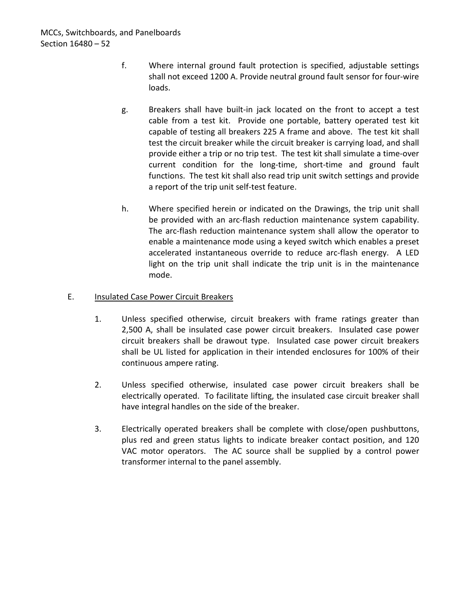- f. Where internal ground fault protection is specified, adjustable settings shall not exceed 1200 A. Provide neutral ground fault sensor for four-wire loads.
- g. Breakers shall have built-in jack located on the front to accept a test cable from a test kit. Provide one portable, battery operated test kit capable of testing all breakers 225 A frame and above. The test kit shall test the circuit breaker while the circuit breaker is carrying load, and shall provide either a trip or no trip test. The test kit shall simulate a time-over current condition for the long-time, short-time and ground fault functions. The test kit shall also read trip unit switch settings and provide a report of the trip unit self-test feature.
- h. Where specified herein or indicated on the Drawings, the trip unit shall be provided with an arc-flash reduction maintenance system capability. The arc-flash reduction maintenance system shall allow the operator to enable a maintenance mode using a keyed switch which enables a preset accelerated instantaneous override to reduce arc-flash energy. A LED light on the trip unit shall indicate the trip unit is in the maintenance mode.

### E. Insulated Case Power Circuit Breakers

- 1. Unless specified otherwise, circuit breakers with frame ratings greater than 2,500 A, shall be insulated case power circuit breakers. Insulated case power circuit breakers shall be drawout type. Insulated case power circuit breakers shall be UL listed for application in their intended enclosures for 100% of their continuous ampere rating.
- 2. Unless specified otherwise, insulated case power circuit breakers shall be electrically operated. To facilitate lifting, the insulated case circuit breaker shall have integral handles on the side of the breaker.
- 3. Electrically operated breakers shall be complete with close/open pushbuttons, plus red and green status lights to indicate breaker contact position, and 120 VAC motor operators. The AC source shall be supplied by a control power transformer internal to the panel assembly.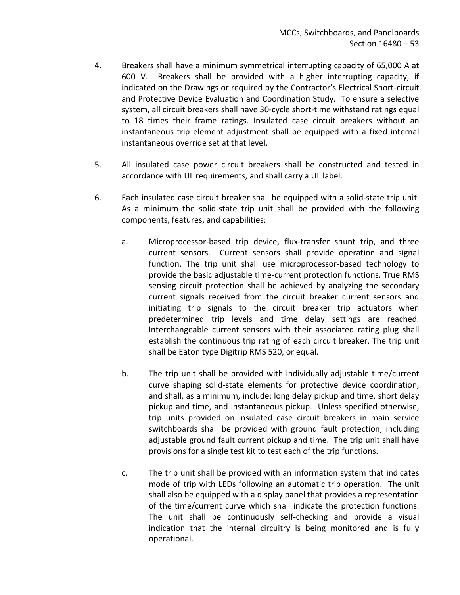- 4. Breakers shall have a minimum symmetrical interrupting capacity of 65,000 A at 600 V. Breakers shall be provided with a higher interrupting capacity, if indicated on the Drawings or required by the Contractor's Electrical Short-circuit and Protective Device Evaluation and Coordination Study. To ensure a selective system, all circuit breakers shall have 30-cycle short-time withstand ratings equal to 18 times their frame ratings. Insulated case circuit breakers without an instantaneous trip element adjustment shall be equipped with a fixed internal instantaneous override set at that level.
- 5. All insulated case power circuit breakers shall be constructed and tested in accordance with UL requirements, and shall carry a UL label.
- 6. Each insulated case circuit breaker shall be equipped with a solid-state trip unit. As a minimum the solid-state trip unit shall be provided with the following components, features, and capabilities:
	- a. Microprocessor-based trip device, flux-transfer shunt trip, and three current sensors. Current sensors shall provide operation and signal function. The trip unit shall use microprocessor-based technology to provide the basic adjustable time-current protection functions. True RMS sensing circuit protection shall be achieved by analyzing the secondary current signals received from the circuit breaker current sensors and initiating trip signals to the circuit breaker trip actuators when predetermined trip levels and time delay settings are reached. Interchangeable current sensors with their associated rating plug shall establish the continuous trip rating of each circuit breaker. The trip unit shall be Eaton type Digitrip RMS 520, or equal.
	- b. The trip unit shall be provided with individually adjustable time/current curve shaping solid-state elements for protective device coordination, and shall, as a minimum, include: long delay pickup and time, short delay pickup and time, and instantaneous pickup. Unless specified otherwise, trip units provided on insulated case circuit breakers in main service switchboards shall be provided with ground fault protection, including adjustable ground fault current pickup and time. The trip unit shall have provisions for a single test kit to test each of the trip functions.
	- c. The trip unit shall be provided with an information system that indicates mode of trip with LEDs following an automatic trip operation. The unit shall also be equipped with a display panel that provides a representation of the time/current curve which shall indicate the protection functions. The unit shall be continuously self-checking and provide a visual indication that the internal circuitry is being monitored and is fully operational.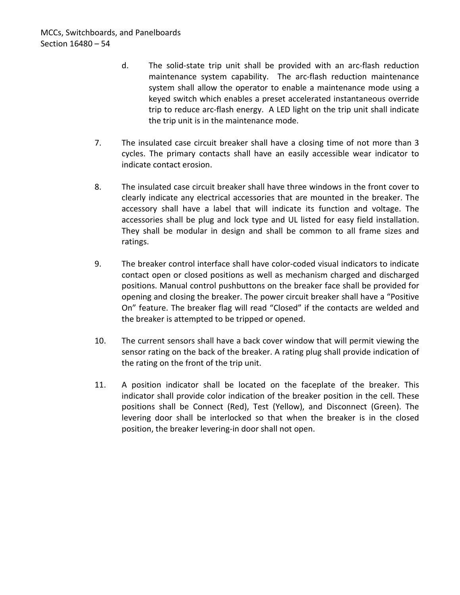- d. The solid-state trip unit shall be provided with an arc-flash reduction maintenance system capability. The arc-flash reduction maintenance system shall allow the operator to enable a maintenance mode using a keyed switch which enables a preset accelerated instantaneous override trip to reduce arc-flash energy. A LED light on the trip unit shall indicate the trip unit is in the maintenance mode.
- 7. The insulated case circuit breaker shall have a closing time of not more than 3 cycles. The primary contacts shall have an easily accessible wear indicator to indicate contact erosion.
- 8. The insulated case circuit breaker shall have three windows in the front cover to clearly indicate any electrical accessories that are mounted in the breaker. The accessory shall have a label that will indicate its function and voltage. The accessories shall be plug and lock type and UL listed for easy field installation. They shall be modular in design and shall be common to all frame sizes and ratings.
- 9. The breaker control interface shall have color-coded visual indicators to indicate contact open or closed positions as well as mechanism charged and discharged positions. Manual control pushbuttons on the breaker face shall be provided for opening and closing the breaker. The power circuit breaker shall have a "Positive On" feature. The breaker flag will read "Closed" if the contacts are welded and the breaker is attempted to be tripped or opened.
- 10. The current sensors shall have a back cover window that will permit viewing the sensor rating on the back of the breaker. A rating plug shall provide indication of the rating on the front of the trip unit.
- 11. A position indicator shall be located on the faceplate of the breaker. This indicator shall provide color indication of the breaker position in the cell. These positions shall be Connect (Red), Test (Yellow), and Disconnect (Green). The levering door shall be interlocked so that when the breaker is in the closed position, the breaker levering-in door shall not open.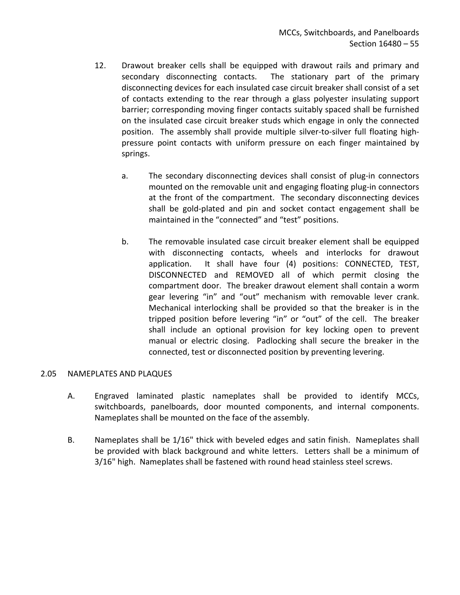- 12. Drawout breaker cells shall be equipped with drawout rails and primary and secondary disconnecting contacts. The stationary part of the primary disconnecting devices for each insulated case circuit breaker shall consist of a set of contacts extending to the rear through a glass polyester insulating support barrier; corresponding moving finger contacts suitably spaced shall be furnished on the insulated case circuit breaker studs which engage in only the connected position. The assembly shall provide multiple silver-to-silver full floating highpressure point contacts with uniform pressure on each finger maintained by springs.
	- a. The secondary disconnecting devices shall consist of plug-in connectors mounted on the removable unit and engaging floating plug-in connectors at the front of the compartment. The secondary disconnecting devices shall be gold-plated and pin and socket contact engagement shall be maintained in the "connected" and "test" positions.
	- b. The removable insulated case circuit breaker element shall be equipped with disconnecting contacts, wheels and interlocks for drawout application. It shall have four (4) positions: CONNECTED, TEST, DISCONNECTED and REMOVED all of which permit closing the compartment door. The breaker drawout element shall contain a worm gear levering "in" and "out" mechanism with removable lever crank. Mechanical interlocking shall be provided so that the breaker is in the tripped position before levering "in" or "out" of the cell. The breaker shall include an optional provision for key locking open to prevent manual or electric closing. Padlocking shall secure the breaker in the connected, test or disconnected position by preventing levering.

### <span id="page-56-0"></span>2.05 NAMEPLATES AND PLAQUES

- A. Engraved laminated plastic nameplates shall be provided to identify MCCs, switchboards, panelboards, door mounted components, and internal components. Nameplates shall be mounted on the face of the assembly.
- B. Nameplates shall be 1/16" thick with beveled edges and satin finish. Nameplates shall be provided with black background and white letters. Letters shall be a minimum of 3/16" high. Nameplates shall be fastened with round head stainless steel screws.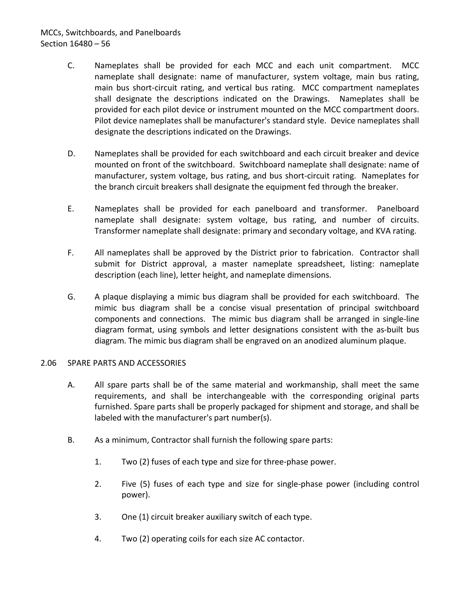# MCCs, Switchboards, and Panelboards Section 16480 – 56

- C. Nameplates shall be provided for each MCC and each unit compartment. MCC nameplate shall designate: name of manufacturer, system voltage, main bus rating, main bus short-circuit rating, and vertical bus rating. MCC compartment nameplates shall designate the descriptions indicated on the Drawings. Nameplates shall be provided for each pilot device or instrument mounted on the MCC compartment doors. Pilot device nameplates shall be manufacturer's standard style. Device nameplates shall designate the descriptions indicated on the Drawings.
- D. Nameplates shall be provided for each switchboard and each circuit breaker and device mounted on front of the switchboard. Switchboard nameplate shall designate: name of manufacturer, system voltage, bus rating, and bus short-circuit rating. Nameplates for the branch circuit breakers shall designate the equipment fed through the breaker.
- E. Nameplates shall be provided for each panelboard and transformer. Panelboard nameplate shall designate: system voltage, bus rating, and number of circuits. Transformer nameplate shall designate: primary and secondary voltage, and KVA rating.
- F. All nameplates shall be approved by the District prior to fabrication. Contractor shall submit for District approval, a master nameplate spreadsheet, listing: nameplate description (each line), letter height, and nameplate dimensions.
- G. A plaque displaying a mimic bus diagram shall be provided for each switchboard. The mimic bus diagram shall be a concise visual presentation of principal switchboard components and connections. The mimic bus diagram shall be arranged in single-line diagram format, using symbols and letter designations consistent with the as-built bus diagram. The mimic bus diagram shall be engraved on an anodized aluminum plaque.

### <span id="page-57-0"></span>2.06 SPARE PARTS AND ACCESSORIES

- A. All spare parts shall be of the same material and workmanship, shall meet the same requirements, and shall be interchangeable with the corresponding original parts furnished. Spare parts shall be properly packaged for shipment and storage, and shall be labeled with the manufacturer's part number(s).
- B. As a minimum, Contractor shall furnish the following spare parts:
	- 1. Two (2) fuses of each type and size for three-phase power.
	- 2. Five (5) fuses of each type and size for single-phase power (including control power).
	- 3. One (1) circuit breaker auxiliary switch of each type.
	- 4. Two (2) operating coils for each size AC contactor.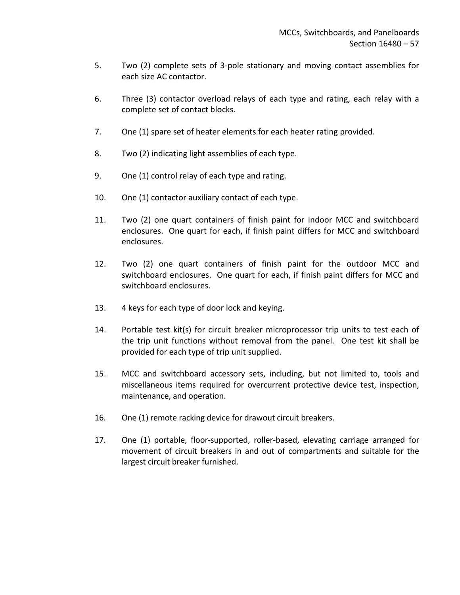- 5. Two (2) complete sets of 3-pole stationary and moving contact assemblies for each size AC contactor.
- 6. Three (3) contactor overload relays of each type and rating, each relay with a complete set of contact blocks.
- 7. One (1) spare set of heater elements for each heater rating provided.
- 8. Two (2) indicating light assemblies of each type.
- 9. One (1) control relay of each type and rating.
- 10. One (1) contactor auxiliary contact of each type.
- 11. Two (2) one quart containers of finish paint for indoor MCC and switchboard enclosures. One quart for each, if finish paint differs for MCC and switchboard enclosures.
- 12. Two (2) one quart containers of finish paint for the outdoor MCC and switchboard enclosures. One quart for each, if finish paint differs for MCC and switchboard enclosures.
- 13. 4 keys for each type of door lock and keying.
- 14. Portable test kit(s) for circuit breaker microprocessor trip units to test each of the trip unit functions without removal from the panel. One test kit shall be provided for each type of trip unit supplied.
- 15. MCC and switchboard accessory sets, including, but not limited to, tools and miscellaneous items required for overcurrent protective device test, inspection, maintenance, and operation.
- 16. One (1) remote racking device for drawout circuit breakers.
- 17. One (1) portable, floor-supported, roller-based, elevating carriage arranged for movement of circuit breakers in and out of compartments and suitable for the largest circuit breaker furnished.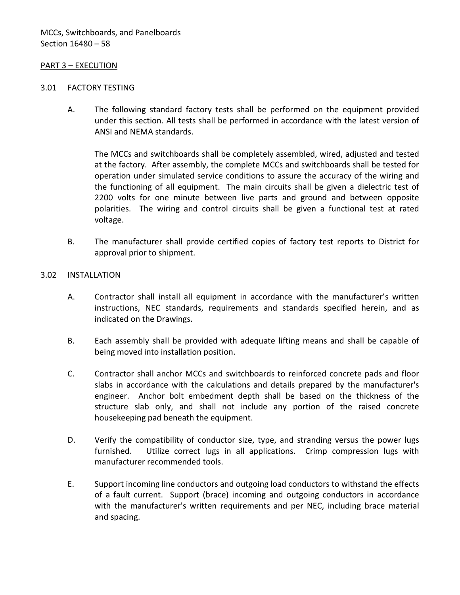#### <span id="page-59-0"></span>PART 3 – EXECUTION

#### <span id="page-59-1"></span>3.01 FACTORY TESTING

A. The following standard factory tests shall be performed on the equipment provided under this section. All tests shall be performed in accordance with the latest version of ANSI and NEMA standards.

The MCCs and switchboards shall be completely assembled, wired, adjusted and tested at the factory. After assembly, the complete MCCs and switchboards shall be tested for operation under simulated service conditions to assure the accuracy of the wiring and the functioning of all equipment. The main circuits shall be given a dielectric test of 2200 volts for one minute between live parts and ground and between opposite polarities. The wiring and control circuits shall be given a functional test at rated voltage.

B. The manufacturer shall provide certified copies of factory test reports to District for approval prior to shipment.

#### <span id="page-59-2"></span>3.02 INSTALLATION

- A. Contractor shall install all equipment in accordance with the manufacturer's written instructions, NEC standards, requirements and standards specified herein, and as indicated on the Drawings.
- B. Each assembly shall be provided with adequate lifting means and shall be capable of being moved into installation position.
- C. Contractor shall anchor MCCs and switchboards to reinforced concrete pads and floor slabs in accordance with the calculations and details prepared by the manufacturer's engineer. Anchor bolt embedment depth shall be based on the thickness of the structure slab only, and shall not include any portion of the raised concrete housekeeping pad beneath the equipment.
- D. Verify the compatibility of conductor size, type, and stranding versus the power lugs furnished. Utilize correct lugs in all applications. Crimp compression lugs with manufacturer recommended tools.
- E. Support incoming line conductors and outgoing load conductors to withstand the effects of a fault current. Support (brace) incoming and outgoing conductors in accordance with the manufacturer's written requirements and per NEC, including brace material and spacing.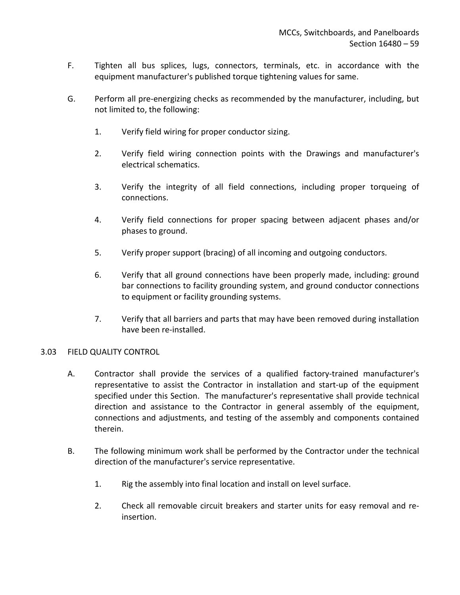- F. Tighten all bus splices, lugs, connectors, terminals, etc. in accordance with the equipment manufacturer's published torque tightening values for same.
- G. Perform all pre-energizing checks as recommended by the manufacturer, including, but not limited to, the following:
	- 1. Verify field wiring for proper conductor sizing.
	- 2. Verify field wiring connection points with the Drawings and manufacturer's electrical schematics.
	- 3. Verify the integrity of all field connections, including proper torqueing of connections.
	- 4. Verify field connections for proper spacing between adjacent phases and/or phases to ground.
	- 5. Verify proper support (bracing) of all incoming and outgoing conductors.
	- 6. Verify that all ground connections have been properly made, including: ground bar connections to facility grounding system, and ground conductor connections to equipment or facility grounding systems.
	- 7. Verify that all barriers and parts that may have been removed during installation have been re-installed.

### <span id="page-60-0"></span>3.03 FIELD QUALITY CONTROL

- A. Contractor shall provide the services of a qualified factory-trained manufacturer's representative to assist the Contractor in installation and start-up of the equipment specified under this Section. The manufacturer's representative shall provide technical direction and assistance to the Contractor in general assembly of the equipment, connections and adjustments, and testing of the assembly and components contained therein.
- B. The following minimum work shall be performed by the Contractor under the technical direction of the manufacturer's service representative.
	- 1. Rig the assembly into final location and install on level surface.
	- 2. Check all removable circuit breakers and starter units for easy removal and reinsertion.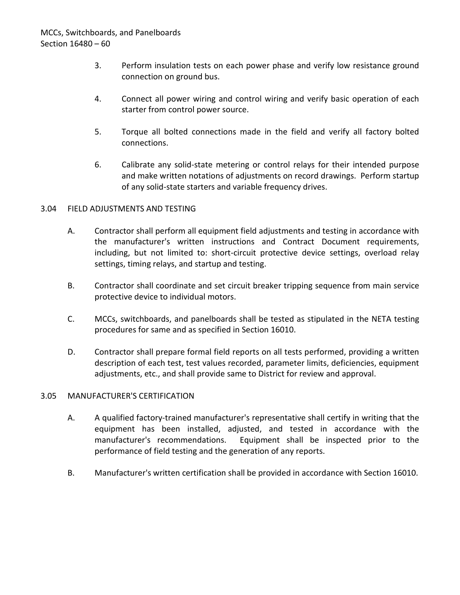- 3. Perform insulation tests on each power phase and verify low resistance ground connection on ground bus.
- 4. Connect all power wiring and control wiring and verify basic operation of each starter from control power source.
- 5. Torque all bolted connections made in the field and verify all factory bolted connections.
- 6. Calibrate any solid-state metering or control relays for their intended purpose and make written notations of adjustments on record drawings. Perform startup of any solid-state starters and variable frequency drives.

## <span id="page-61-0"></span>3.04 FIELD ADJUSTMENTS AND TESTING

- A. Contractor shall perform all equipment field adjustments and testing in accordance with the manufacturer's written instructions and Contract Document requirements, including, but not limited to: short-circuit protective device settings, overload relay settings, timing relays, and startup and testing.
- B. Contractor shall coordinate and set circuit breaker tripping sequence from main service protective device to individual motors.
- C. MCCs, switchboards, and panelboards shall be tested as stipulated in the NETA testing procedures for same and as specified in Section 16010.
- D. Contractor shall prepare formal field reports on all tests performed, providing a written description of each test, test values recorded, parameter limits, deficiencies, equipment adjustments, etc., and shall provide same to District for review and approval.

### <span id="page-61-1"></span>3.05 MANUFACTURER'S CERTIFICATION

- A. A qualified factory-trained manufacturer's representative shall certify in writing that the equipment has been installed, adjusted, and tested in accordance with the manufacturer's recommendations. Equipment shall be inspected prior to the performance of field testing and the generation of any reports.
- B. Manufacturer's written certification shall be provided in accordance with Section 16010.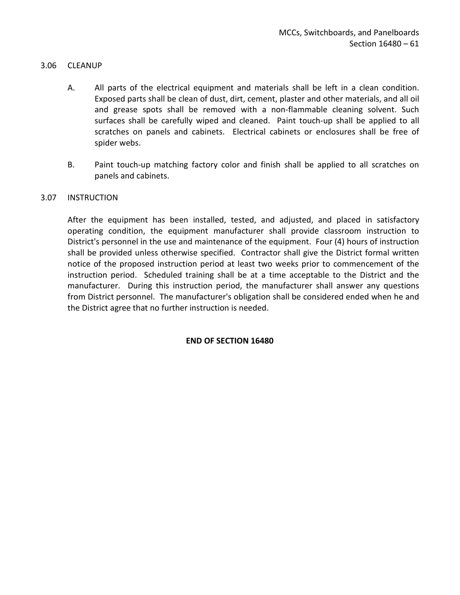### <span id="page-62-0"></span>3.06 CLEANUP

- A. All parts of the electrical equipment and materials shall be left in a clean condition. Exposed parts shall be clean of dust, dirt, cement, plaster and other materials, and all oil and grease spots shall be removed with a non-flammable cleaning solvent. Such surfaces shall be carefully wiped and cleaned. Paint touch-up shall be applied to all scratches on panels and cabinets. Electrical cabinets or enclosures shall be free of spider webs.
- B. Paint touch-up matching factory color and finish shall be applied to all scratches on panels and cabinets.

#### <span id="page-62-1"></span>3.07 INSTRUCTION

After the equipment has been installed, tested, and adjusted, and placed in satisfactory operating condition, the equipment manufacturer shall provide classroom instruction to District's personnel in the use and maintenance of the equipment. Four (4) hours of instruction shall be provided unless otherwise specified. Contractor shall give the District formal written notice of the proposed instruction period at least two weeks prior to commencement of the instruction period. Scheduled training shall be at a time acceptable to the District and the manufacturer. During this instruction period, the manufacturer shall answer any questions from District personnel. The manufacturer's obligation shall be considered ended when he and the District agree that no further instruction is needed.

#### **END OF SECTION 16480**